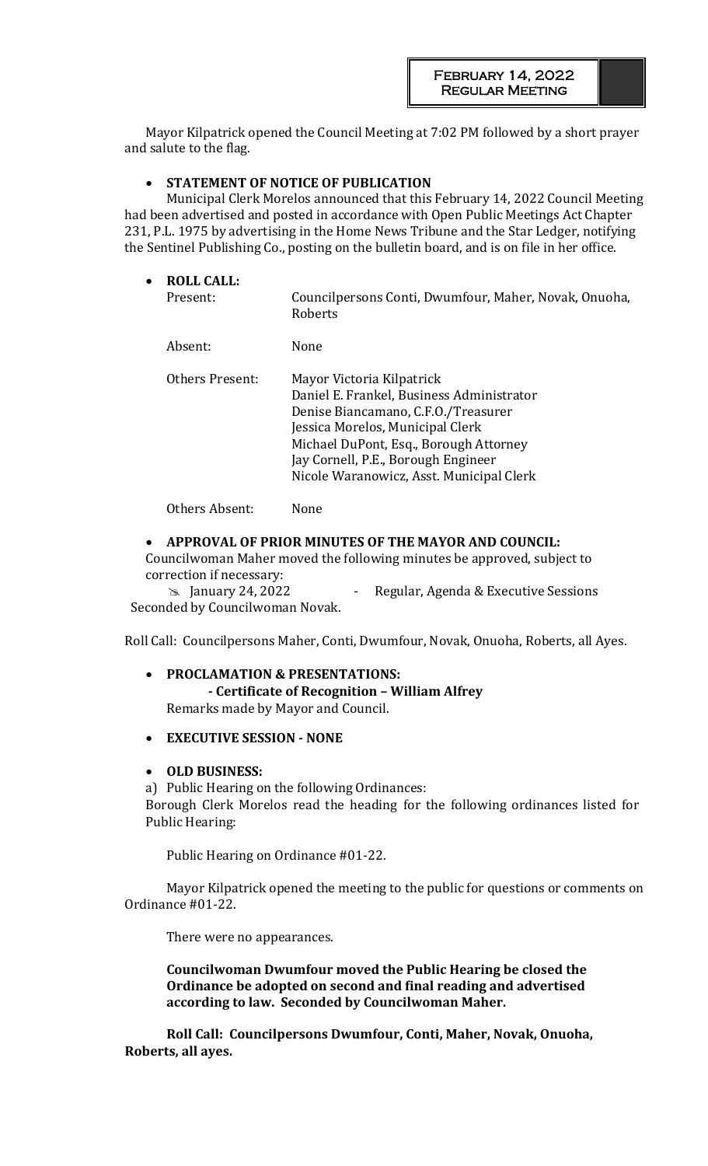Mayor Kilpatrick opened the Council Meeting at 7:02 PM followed by a short prayer and salute to the flag.

## • **STATEMENT OF NOTICE OF PUBLICATION**

Municipal Clerk Morelos announced that this February 14, 2022 Council Meeting had been advertised and posted in accordance with Open Public Meetings Act Chapter 231, P.L. 1975 by advertising in the Home News Tribune and the Star Ledger, notifying the Sentinel Publishing Co., posting on the bulletin board, and is on file in her office.

| $\bullet$ | <b>ROLL CALL:</b><br>Present: | Councilpersons Conti, Dwumfour, Maher, Novak, Onuoha,<br>Roberts                                                                                                                                                                                                               |
|-----------|-------------------------------|--------------------------------------------------------------------------------------------------------------------------------------------------------------------------------------------------------------------------------------------------------------------------------|
|           | Absent:                       | None                                                                                                                                                                                                                                                                           |
|           | Others Present:               | Mayor Victoria Kilpatrick<br>Daniel E. Frankel, Business Administrator<br>Denise Biancamano, C.F.O./Treasurer<br>Jessica Morelos, Municipal Clerk<br>Michael DuPont, Esq., Borough Attorney<br>Jay Cornell, P.E., Borough Engineer<br>Nicole Waranowicz, Asst. Municipal Clerk |
|           |                               |                                                                                                                                                                                                                                                                                |

Others Absent: None

#### • **APPROVAL OF PRIOR MINUTES OF THE MAYOR AND COUNCIL:**

Councilwoman Maher moved the following minutes be approved, subject to correction if necessary:

**EXECUTE:** January 24, 2022 **- Regular, Agenda & Executive Sessions** Seconded by Councilwoman Novak.

Roll Call: Councilpersons Maher, Conti, Dwumfour, Novak, Onuoha, Roberts, all Ayes.

## • **PROCLAMATION & PRESENTATIONS: - Certificate of Recognition – William Alfrey** Remarks made by Mayor and Council.

### • **EXECUTIVE SESSION - NONE**

#### • **OLD BUSINESS:**

a) Public Hearing on the following Ordinances: Borough Clerk Morelos read the heading for the following ordinances listed for Public Hearing:

Public Hearing on Ordinance #01-22.

Mayor Kilpatrick opened the meeting to the public for questions or comments on Ordinance #01-22.

There were no appearances.

**Councilwoman Dwumfour moved the Public Hearing be closed the Ordinance be adopted on second and final reading and advertised according to law. Seconded by Councilwoman Maher.** 

**Roll Call: Councilpersons Dwumfour, Conti, Maher, Novak, Onuoha, Roberts, all ayes.**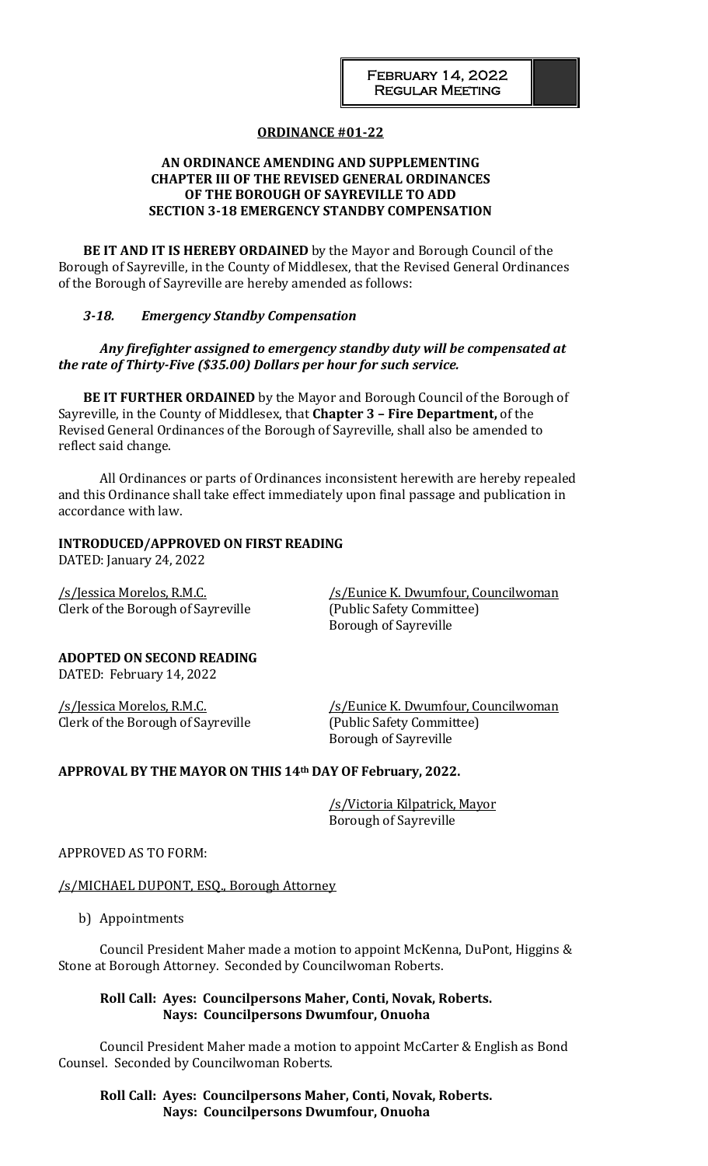### **ORDINANCE #01-22**

### **AN ORDINANCE AMENDING AND SUPPLEMENTING CHAPTER III OF THE REVISED GENERAL ORDINANCES OF THE BOROUGH OF SAYREVILLE TO ADD SECTION 3-18 EMERGENCY STANDBY COMPENSATION**

**BE IT AND IT IS HEREBY ORDAINED** by the Mayor and Borough Council of the Borough of Sayreville, in the County of Middlesex, that the Revised General Ordinances of the Borough of Sayreville are hereby amended as follows:

#### *3-18. Emergency Standby Compensation*

## *Any firefighter assigned to emergency standby duty will be compensated at the rate of Thirty-Five (\$35.00) Dollars per hour for such service.*

**BE IT FURTHER ORDAINED** by the Mayor and Borough Council of the Borough of Sayreville, in the County of Middlesex, that **Chapter 3 – Fire Department,** of the Revised General Ordinances of the Borough of Sayreville, shall also be amended to reflect said change.

All Ordinances or parts of Ordinances inconsistent herewith are hereby repealed and this Ordinance shall take effect immediately upon final passage and publication in accordance with law.

#### **INTRODUCED/APPROVED ON FIRST READING**

DATED: January 24, 2022

Clerk of the Borough of Sayreville (Public Safety Committee)

/s/Jessica Morelos, R.M.C. /s/Eunice K. Dwumfour, Councilwoman Borough of Sayreville

**ADOPTED ON SECOND READING** DATED: February 14, 2022

Clerk of the Borough of Sayreville (Public Safety Committee)

/s/Jessica Morelos, R.M.C. /s/Eunice K. Dwumfour, Councilwoman Borough of Sayreville

### **APPROVAL BY THE MAYOR ON THIS 14th DAY OF February, 2022.**

/s/Victoria Kilpatrick, Mayor Borough of Sayreville

APPROVED AS TO FORM:

/s/MICHAEL DUPONT, ESQ., Borough Attorney

b) Appointments

Council President Maher made a motion to appoint McKenna, DuPont, Higgins & Stone at Borough Attorney. Seconded by Councilwoman Roberts.

### **Roll Call: Ayes: Councilpersons Maher, Conti, Novak, Roberts. Nays: Councilpersons Dwumfour, Onuoha**

Council President Maher made a motion to appoint McCarter & English as Bond Counsel. Seconded by Councilwoman Roberts.

## **Roll Call: Ayes: Councilpersons Maher, Conti, Novak, Roberts. Nays: Councilpersons Dwumfour, Onuoha**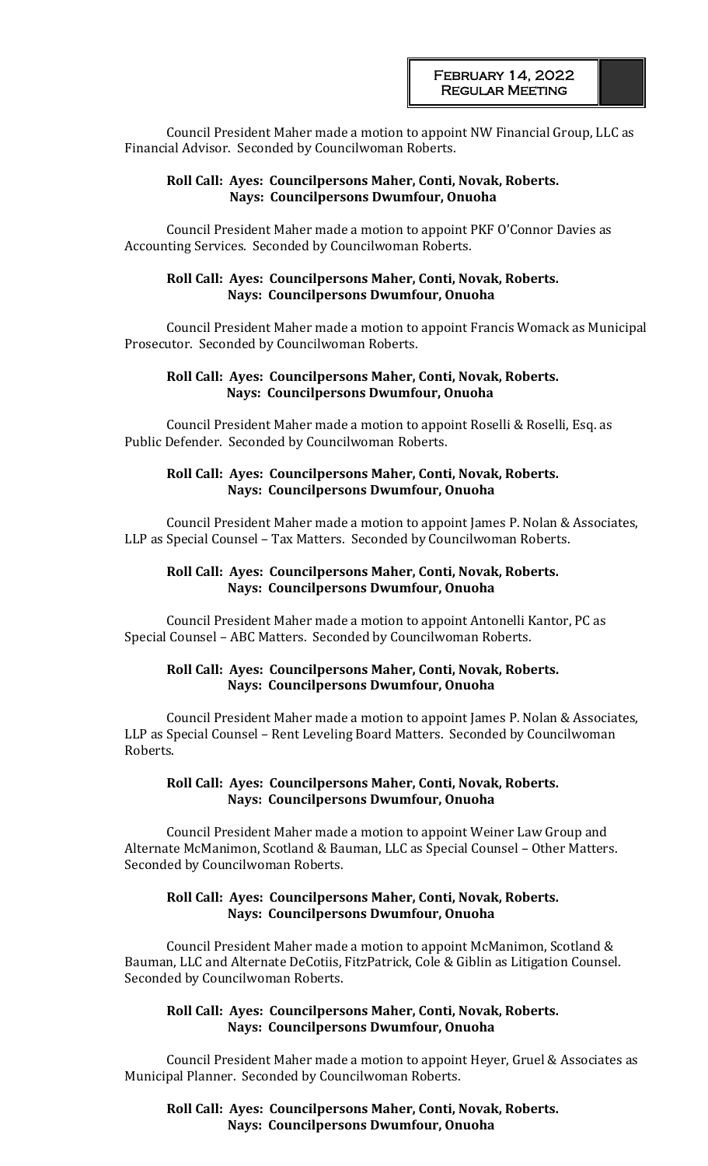Council President Maher made a motion to appoint NW Financial Group, LLC as Financial Advisor. Seconded by Councilwoman Roberts.

### **Roll Call: Ayes: Councilpersons Maher, Conti, Novak, Roberts. Nays: Councilpersons Dwumfour, Onuoha**

Council President Maher made a motion to appoint PKF O'Connor Davies as Accounting Services. Seconded by Councilwoman Roberts.

#### **Roll Call: Ayes: Councilpersons Maher, Conti, Novak, Roberts. Nays: Councilpersons Dwumfour, Onuoha**

Council President Maher made a motion to appoint Francis Womack as Municipal Prosecutor. Seconded by Councilwoman Roberts.

## **Roll Call: Ayes: Councilpersons Maher, Conti, Novak, Roberts. Nays: Councilpersons Dwumfour, Onuoha**

Council President Maher made a motion to appoint Roselli & Roselli, Esq. as Public Defender. Seconded by Councilwoman Roberts.

### **Roll Call: Ayes: Councilpersons Maher, Conti, Novak, Roberts. Nays: Councilpersons Dwumfour, Onuoha**

Council President Maher made a motion to appoint James P. Nolan & Associates, LLP as Special Counsel – Tax Matters. Seconded by Councilwoman Roberts.

### **Roll Call: Ayes: Councilpersons Maher, Conti, Novak, Roberts. Nays: Councilpersons Dwumfour, Onuoha**

Council President Maher made a motion to appoint Antonelli Kantor, PC as Special Counsel – ABC Matters. Seconded by Councilwoman Roberts.

## **Roll Call: Ayes: Councilpersons Maher, Conti, Novak, Roberts. Nays: Councilpersons Dwumfour, Onuoha**

Council President Maher made a motion to appoint James P. Nolan & Associates, LLP as Special Counsel – Rent Leveling Board Matters. Seconded by Councilwoman Roberts.

## **Roll Call: Ayes: Councilpersons Maher, Conti, Novak, Roberts. Nays: Councilpersons Dwumfour, Onuoha**

Council President Maher made a motion to appoint Weiner Law Group and Alternate McManimon, Scotland & Bauman, LLC as Special Counsel – Other Matters. Seconded by Councilwoman Roberts.

## **Roll Call: Ayes: Councilpersons Maher, Conti, Novak, Roberts. Nays: Councilpersons Dwumfour, Onuoha**

Council President Maher made a motion to appoint McManimon, Scotland & Bauman, LLC and Alternate DeCotiis, FitzPatrick, Cole & Giblin as Litigation Counsel. Seconded by Councilwoman Roberts.

### **Roll Call: Ayes: Councilpersons Maher, Conti, Novak, Roberts. Nays: Councilpersons Dwumfour, Onuoha**

Council President Maher made a motion to appoint Heyer, Gruel & Associates as Municipal Planner. Seconded by Councilwoman Roberts.

**Roll Call: Ayes: Councilpersons Maher, Conti, Novak, Roberts. Nays: Councilpersons Dwumfour, Onuoha**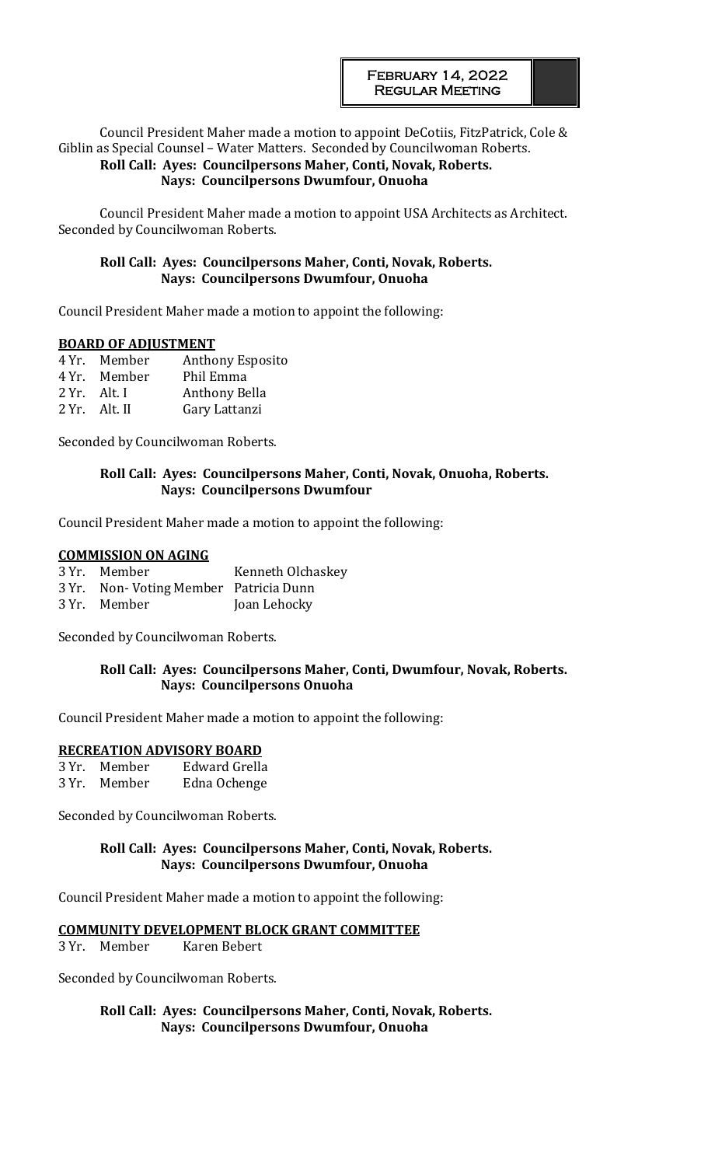#### Council President Maher made a motion to appoint DeCotiis, FitzPatrick, Cole & Giblin as Special Counsel – Water Matters. Seconded by Councilwoman Roberts. **Roll Call: Ayes: Councilpersons Maher, Conti, Novak, Roberts. Nays: Councilpersons Dwumfour, Onuoha**

Council President Maher made a motion to appoint USA Architects as Architect. Seconded by Councilwoman Roberts.

# **Roll Call: Ayes: Councilpersons Maher, Conti, Novak, Roberts. Nays: Councilpersons Dwumfour, Onuoha**

Council President Maher made a motion to appoint the following:

## **BOARD OF ADJUSTMENT**

| 4 Yr. Member     | <b>Anthony Esposito</b> |
|------------------|-------------------------|
| 4 Yr. Member     | Phil Emma               |
| $2 Yr$ . Alt. I  | Anthony Bella           |
| $2 Yr$ . Alt. II | Gary Lattanzi           |

Seconded by Councilwoman Roberts.

## **Roll Call: Ayes: Councilpersons Maher, Conti, Novak, Onuoha, Roberts. Nays: Councilpersons Dwumfour**

Council President Maher made a motion to appoint the following:

### **COMMISSION ON AGING**

| 3 Yr. Member                          | Kenneth Olchaskey |
|---------------------------------------|-------------------|
| 3 Yr. Non-Voting Member Patricia Dunn |                   |
| 3 Yr. Member                          | Joan Lehocky      |

Seconded by Councilwoman Roberts.

## **Roll Call: Ayes: Councilpersons Maher, Conti, Dwumfour, Novak, Roberts. Nays: Councilpersons Onuoha**

Council President Maher made a motion to appoint the following:

### **RECREATION ADVISORY BOARD**

| 3 Yr. Member | Edward Grella |
|--------------|---------------|
| 3 Yr. Member | Edna Ochenge  |

Seconded by Councilwoman Roberts.

## **Roll Call: Ayes: Councilpersons Maher, Conti, Novak, Roberts. Nays: Councilpersons Dwumfour, Onuoha**

Council President Maher made a motion to appoint the following:

### **COMMUNITY DEVELOPMENT BLOCK GRANT COMMITTEE**

3 Yr. Member Karen Bebert

Seconded by Councilwoman Roberts.

**Roll Call: Ayes: Councilpersons Maher, Conti, Novak, Roberts. Nays: Councilpersons Dwumfour, Onuoha**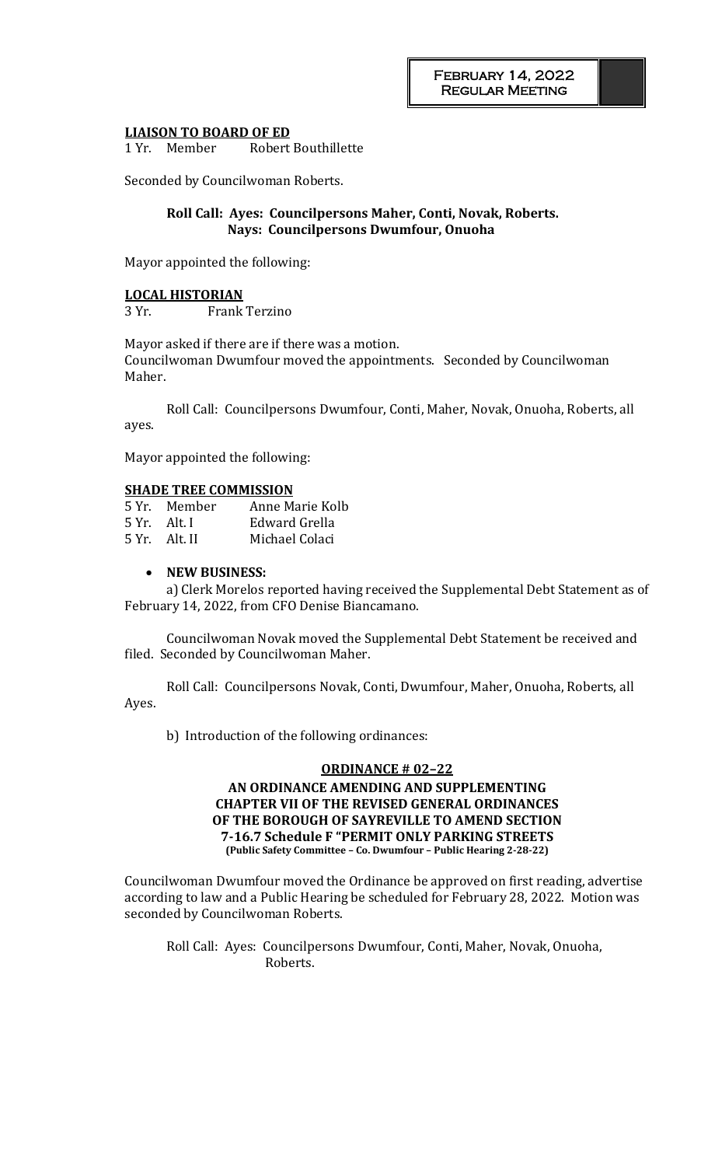#### **LIAISON TO BOARD OF ED**

1 Yr. Member Robert Bouthillette

Seconded by Councilwoman Roberts.

#### **Roll Call: Ayes: Councilpersons Maher, Conti, Novak, Roberts. Nays: Councilpersons Dwumfour, Onuoha**

Mayor appointed the following:

#### **LOCAL HISTORIAN**

3 Yr. Frank Terzino

Mayor asked if there are if there was a motion. Councilwoman Dwumfour moved the appointments. Seconded by Councilwoman Maher.

Roll Call: Councilpersons Dwumfour, Conti, Maher, Novak, Onuoha, Roberts, all ayes.

Mayor appointed the following:

### **SHADE TREE COMMISSION**

| 5 Yr. – Member | Anne Marie Kolb |
|----------------|-----------------|
| 5 Yr. – Alt. I | Edward Grella   |
| 5 Yr. Alt. II  | Michael Colaci  |

#### • **NEW BUSINESS:**

a) Clerk Morelos reported having received the Supplemental Debt Statement as of February 14, 2022, from CFO Denise Biancamano.

Councilwoman Novak moved the Supplemental Debt Statement be received and filed. Seconded by Councilwoman Maher.

Roll Call: Councilpersons Novak, Conti, Dwumfour, Maher, Onuoha, Roberts, all Ayes.

b) Introduction of the following ordinances:

#### **ORDINANCE # 02–22**

## **AN ORDINANCE AMENDING AND SUPPLEMENTING CHAPTER VII OF THE REVISED GENERAL ORDINANCES OF THE BOROUGH OF SAYREVILLE TO AMEND SECTION 7-16.7 Schedule F "PERMIT ONLY PARKING STREETS (Public Safety Committee – Co. Dwumfour – Public Hearing 2-28-22)**

Councilwoman Dwumfour moved the Ordinance be approved on first reading, advertise according to law and a Public Hearing be scheduled for February 28, 2022. Motion was seconded by Councilwoman Roberts.

Roll Call: Ayes: Councilpersons Dwumfour, Conti, Maher, Novak, Onuoha, Roberts.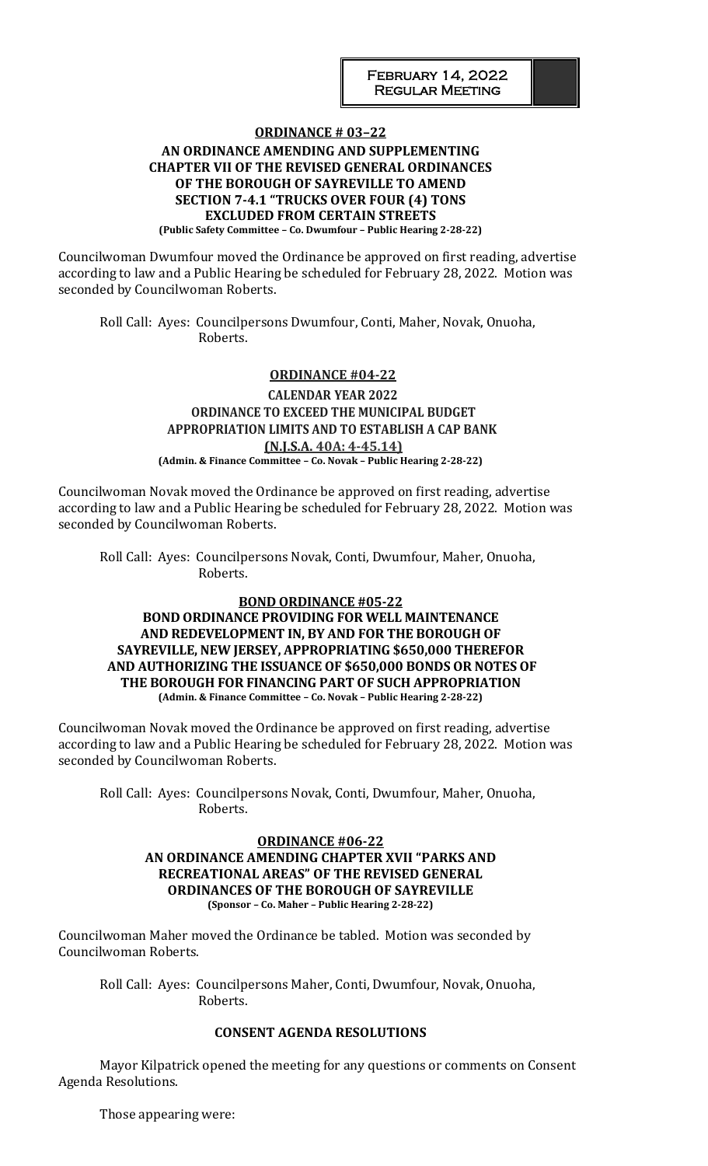#### **ORDINANCE # 03–22 AN ORDINANCE AMENDING AND SUPPLEMENTING CHAPTER VII OF THE REVISED GENERAL ORDINANCES OF THE BOROUGH OF SAYREVILLE TO AMEND SECTION 7-4.1 "TRUCKS OVER FOUR (4) TONS EXCLUDED FROM CERTAIN STREETS (Public Safety Committee – Co. Dwumfour – Public Hearing 2-28-22)**

Councilwoman Dwumfour moved the Ordinance be approved on first reading, advertise according to law and a Public Hearing be scheduled for February 28, 2022. Motion was seconded by Councilwoman Roberts.

Roll Call: Ayes: Councilpersons Dwumfour, Conti, Maher, Novak, Onuoha, Roberts.

# **ORDINANCE #04-22**

### **CALENDAR YEAR 2022 ORDINANCE TO EXCEED THE MUNICIPAL BUDGET APPROPRIATION LIMITS AND TO ESTABLISH A CAP BANK (N.J.S.A. 40A: 4-45.14) (Admin. & Finance Committee – Co. Novak – Public Hearing 2-28-22)**

Councilwoman Novak moved the Ordinance be approved on first reading, advertise according to law and a Public Hearing be scheduled for February 28, 2022. Motion was seconded by Councilwoman Roberts.

Roll Call: Ayes: Councilpersons Novak, Conti, Dwumfour, Maher, Onuoha, Roberts.

### **BOND ORDINANCE #05-22**

### **BOND ORDINANCE PROVIDING FOR WELL MAINTENANCE AND REDEVELOPMENT IN, BY AND FOR THE BOROUGH OF SAYREVILLE, NEW JERSEY, APPROPRIATING \$650,000 THEREFOR AND AUTHORIZING THE ISSUANCE OF \$650,000 BONDS OR NOTES OF THE BOROUGH FOR FINANCING PART OF SUCH APPROPRIATION (Admin. & Finance Committee – Co. Novak – Public Hearing 2-28-22)**

Councilwoman Novak moved the Ordinance be approved on first reading, advertise according to law and a Public Hearing be scheduled for February 28, 2022. Motion was seconded by Councilwoman Roberts.

Roll Call: Ayes: Councilpersons Novak, Conti, Dwumfour, Maher, Onuoha, Roberts.

#### **ORDINANCE #06-22 AN ORDINANCE AMENDING CHAPTER XVII "PARKS AND RECREATIONAL AREAS" OF THE REVISED GENERAL ORDINANCES OF THE BOROUGH OF SAYREVILLE (Sponsor – Co. Maher – Public Hearing 2-28-22)**

Councilwoman Maher moved the Ordinance be tabled. Motion was seconded by Councilwoman Roberts.

Roll Call: Ayes: Councilpersons Maher, Conti, Dwumfour, Novak, Onuoha, Roberts.

### **CONSENT AGENDA RESOLUTIONS**

Mayor Kilpatrick opened the meeting for any questions or comments on Consent Agenda Resolutions.

Those appearing were: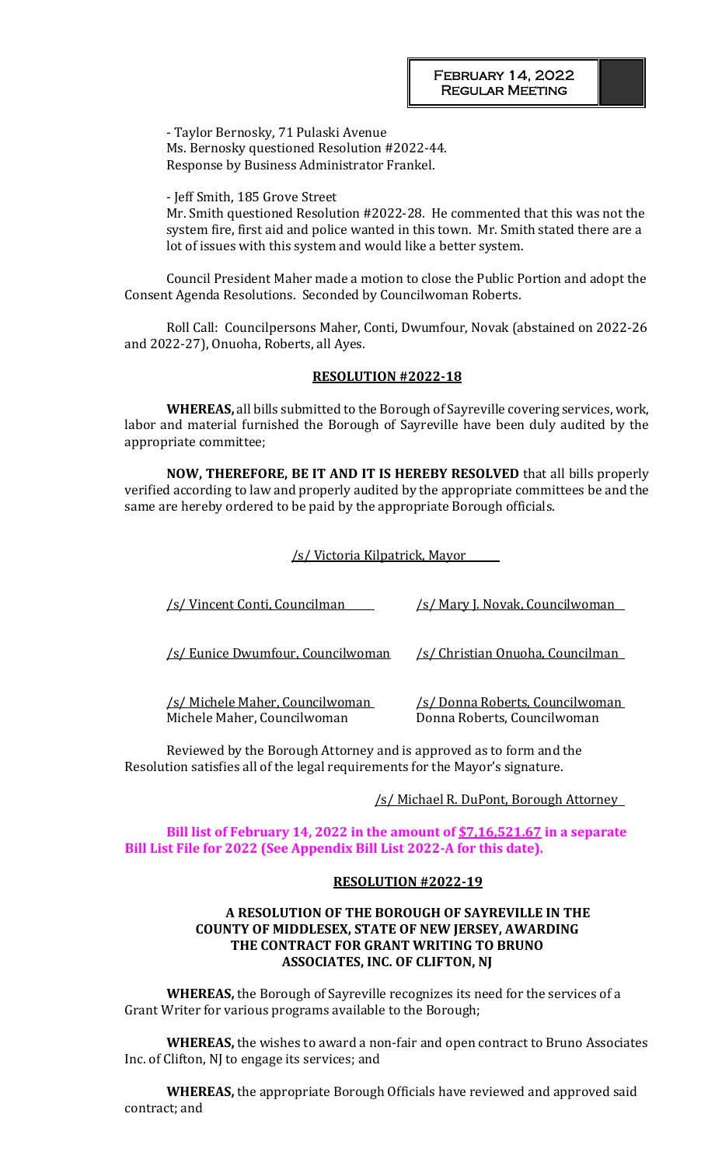- Taylor Bernosky, 71 Pulaski Avenue Ms. Bernosky questioned Resolution #2022-44. Response by Business Administrator Frankel.

- Jeff Smith, 185 Grove Street

Mr. Smith questioned Resolution #2022-28. He commented that this was not the system fire, first aid and police wanted in this town. Mr. Smith stated there are a lot of issues with this system and would like a better system.

Council President Maher made a motion to close the Public Portion and adopt the Consent Agenda Resolutions. Seconded by Councilwoman Roberts.

Roll Call: Councilpersons Maher, Conti, Dwumfour, Novak (abstained on 2022-26 and 2022-27), Onuoha, Roberts, all Ayes.

#### **RESOLUTION #2022-18**

**WHEREAS,** all bills submitted to the Borough of Sayreville covering services, work, labor and material furnished the Borough of Sayreville have been duly audited by the appropriate committee;

**NOW, THEREFORE, BE IT AND IT IS HEREBY RESOLVED** that all bills properly verified according to law and properly audited by the appropriate committees be and the same are hereby ordered to be paid by the appropriate Borough officials.

#### /s/ Victoria Kilpatrick, Mayor

| <u>/s/ Vincent Conti, Councilman</u>                                   | /s/ Mary J. Novak, Councilwoman                                |
|------------------------------------------------------------------------|----------------------------------------------------------------|
|                                                                        |                                                                |
| /s/ Eunice Dwumfour, Councilwoman                                      | /s/ Christian Onuoha, Councilman                               |
|                                                                        |                                                                |
| <u>/s/ Michele Maher, Councilwoman_</u><br>Michele Maher, Councilwoman | /s/ Donna Roberts, Councilwoman<br>Donna Roberts, Councilwoman |
|                                                                        |                                                                |

Reviewed by the Borough Attorney and is approved as to form and the Resolution satisfies all of the legal requirements for the Mayor's signature.

/s/ Michael R. DuPont, Borough Attorney

### **Bill list of February 14, 2022 in the amount of \$7,16,521.67 in a separate Bill List File for 2022 (See Appendix Bill List 2022-A for this date).**

#### **RESOLUTION #2022-19**

### **A RESOLUTION OF THE BOROUGH OF SAYREVILLE IN THE COUNTY OF MIDDLESEX, STATE OF NEW JERSEY, AWARDING THE CONTRACT FOR GRANT WRITING TO BRUNO ASSOCIATES, INC. OF CLIFTON, NJ**

**WHEREAS,** the Borough of Sayreville recognizes its need for the services of a Grant Writer for various programs available to the Borough;

**WHEREAS,** the wishes to award a non-fair and open contract to Bruno Associates Inc. of Clifton, NJ to engage its services; and

**WHEREAS,** the appropriate Borough Officials have reviewed and approved said contract; and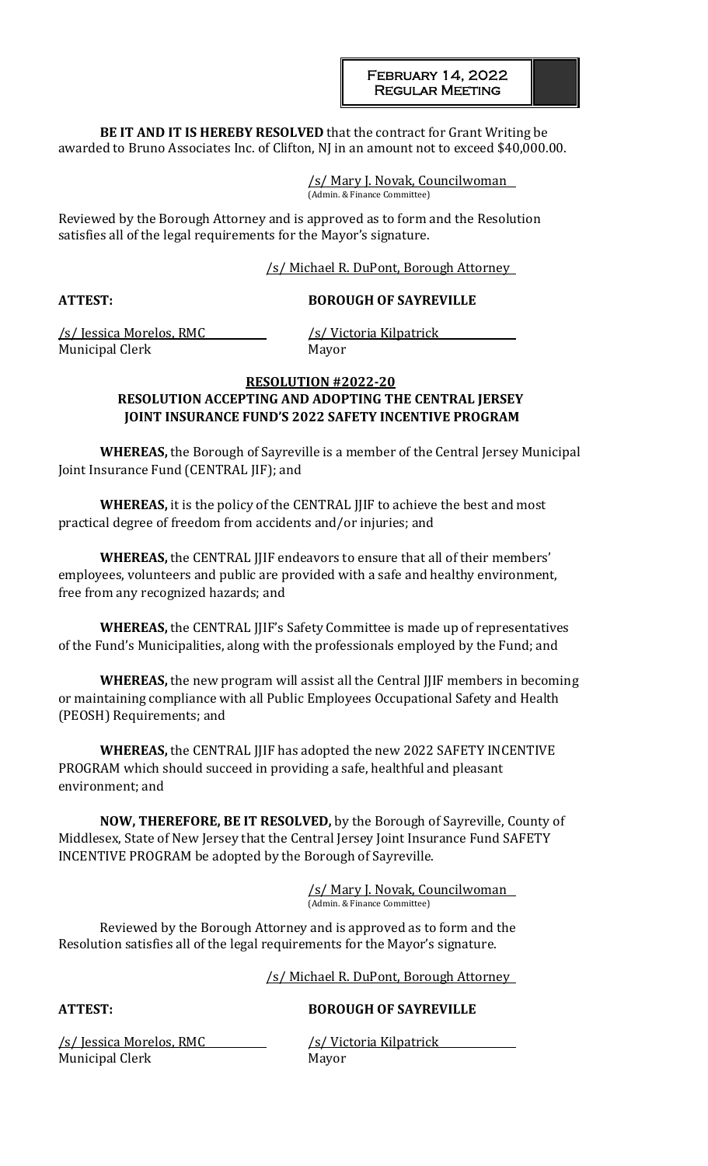**BE IT AND IT IS HEREBY RESOLVED** that the contract for Grant Writing be awarded to Bruno Associates Inc. of Clifton, NJ in an amount not to exceed \$40,000.00.

> /s/ Mary J. Novak, Councilwoman (Admin. & Finance Committee)

Reviewed by the Borough Attorney and is approved as to form and the Resolution satisfies all of the legal requirements for the Mayor's signature.

/s/ Michael R. DuPont, Borough Attorney

# **ATTEST: BOROUGH OF SAYREVILLE**

/s/ Jessica Morelos, RMC /s/ Victoria Kilpatrick Municipal Clerk Mayor

## **RESOLUTION #2022-20 RESOLUTION ACCEPTING AND ADOPTING THE CENTRAL JERSEY JOINT INSURANCE FUND'S 2022 SAFETY INCENTIVE PROGRAM**

**WHEREAS,** the Borough of Sayreville is a member of the Central Jersey Municipal Joint Insurance Fund (CENTRAL JIF); and

**WHEREAS,** it is the policy of the CENTRAL JJIF to achieve the best and most practical degree of freedom from accidents and/or injuries; and

**WHEREAS,** the CENTRAL JJIF endeavors to ensure that all of their members' employees, volunteers and public are provided with a safe and healthy environment, free from any recognized hazards; and

**WHEREAS,** the CENTRAL JJIF's Safety Committee is made up of representatives of the Fund's Municipalities, along with the professionals employed by the Fund; and

**WHEREAS,** the new program will assist all the Central JJIF members in becoming or maintaining compliance with all Public Employees Occupational Safety and Health (PEOSH) Requirements; and

**WHEREAS,** the CENTRAL JJIF has adopted the new 2022 SAFETY INCENTIVE PROGRAM which should succeed in providing a safe, healthful and pleasant environment; and

**NOW, THEREFORE, BE IT RESOLVED,** by the Borough of Sayreville, County of Middlesex, State of New Jersey that the Central Jersey Joint Insurance Fund SAFETY INCENTIVE PROGRAM be adopted by the Borough of Sayreville.

> /s/ Mary J. Novak, Councilwoman (Admin. & Finance Committee)

Reviewed by the Borough Attorney and is approved as to form and the Resolution satisfies all of the legal requirements for the Mayor's signature.

/s/ Michael R. DuPont, Borough Attorney

# **ATTEST: BOROUGH OF SAYREVILLE**

/s/ Jessica Morelos, RMC /s/ Victoria Kilpatrick Municipal Clerk Mayor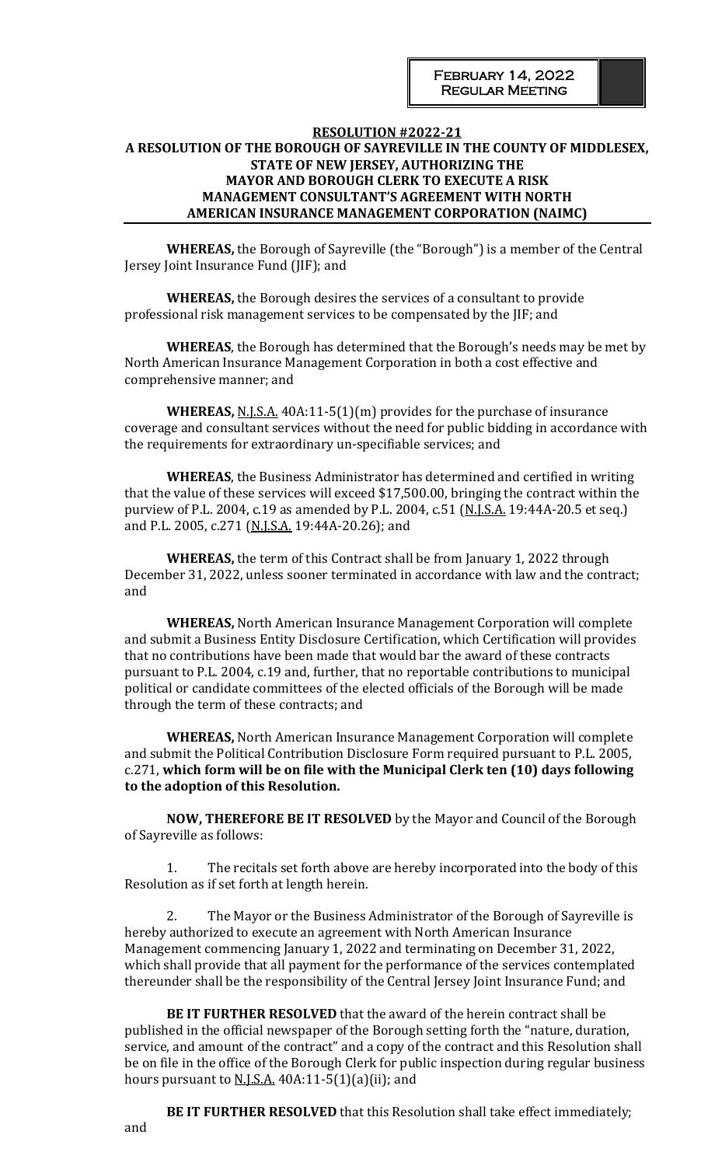## **RESOLUTION #2022-21 A RESOLUTION OF THE BOROUGH OF SAYREVILLE IN THE COUNTY OF MIDDLESEX, STATE OF NEW JERSEY, AUTHORIZING THE MAYOR AND BOROUGH CLERK TO EXECUTE A RISK MANAGEMENT CONSULTANT'S AGREEMENT WITH NORTH AMERICAN INSURANCE MANAGEMENT CORPORATION (NAIMC)**

**WHEREAS,** the Borough of Sayreville (the "Borough") is a member of the Central Jersey Joint Insurance Fund (JIF); and

**WHEREAS,** the Borough desires the services of a consultant to provide professional risk management services to be compensated by the JIF; and

**WHEREAS**, the Borough has determined that the Borough's needs may be met by North American Insurance Management Corporation in both a cost effective and comprehensive manner; and

**WHEREAS,** N.J.S.A. 40A:11-5(1)(m) provides for the purchase of insurance coverage and consultant services without the need for public bidding in accordance with the requirements for extraordinary un-specifiable services; and

**WHEREAS**, the Business Administrator has determined and certified in writing that the value of these services will exceed \$17,500.00, bringing the contract within the purview of P.L. 2004, c.19 as amended by P.L. 2004, c.51 (N.J.S.A. 19:44A-20.5 et seq.) and P.L. 2005, c.271 (N.J.S.A. 19:44A-20.26); and

**WHEREAS,** the term of this Contract shall be from January 1, 2022 through December 31, 2022, unless sooner terminated in accordance with law and the contract; and

**WHEREAS,** North American Insurance Management Corporation will complete and submit a Business Entity Disclosure Certification, which Certification will provides that no contributions have been made that would bar the award of these contracts pursuant to P.L. 2004, c.19 and, further, that no reportable contributions to municipal political or candidate committees of the elected officials of the Borough will be made through the term of these contracts; and

**WHEREAS,** North American Insurance Management Corporation will complete and submit the Political Contribution Disclosure Form required pursuant to P.L. 2005, c.271, **which form will be on file with the Municipal Clerk ten (10) days following to the adoption of this Resolution.**

**NOW, THEREFORE BE IT RESOLVED** by the Mayor and Council of the Borough of Sayreville as follows:

The recitals set forth above are hereby incorporated into the body of this Resolution as if set forth at length herein.

2. The Mayor or the Business Administrator of the Borough of Sayreville is hereby authorized to execute an agreement with North American Insurance Management commencing January 1, 2022 and terminating on December 31, 2022, which shall provide that all payment for the performance of the services contemplated thereunder shall be the responsibility of the Central Jersey Joint Insurance Fund; and

**BE IT FURTHER RESOLVED** that the award of the herein contract shall be published in the official newspaper of the Borough setting forth the "nature, duration, service, and amount of the contract" and a copy of the contract and this Resolution shall be on file in the office of the Borough Clerk for public inspection during regular business hours pursuant to  $N.I.S.A.$  40A:11-5(1)(a)(ii); and

**BE IT FURTHER RESOLVED** that this Resolution shall take effect immediately; and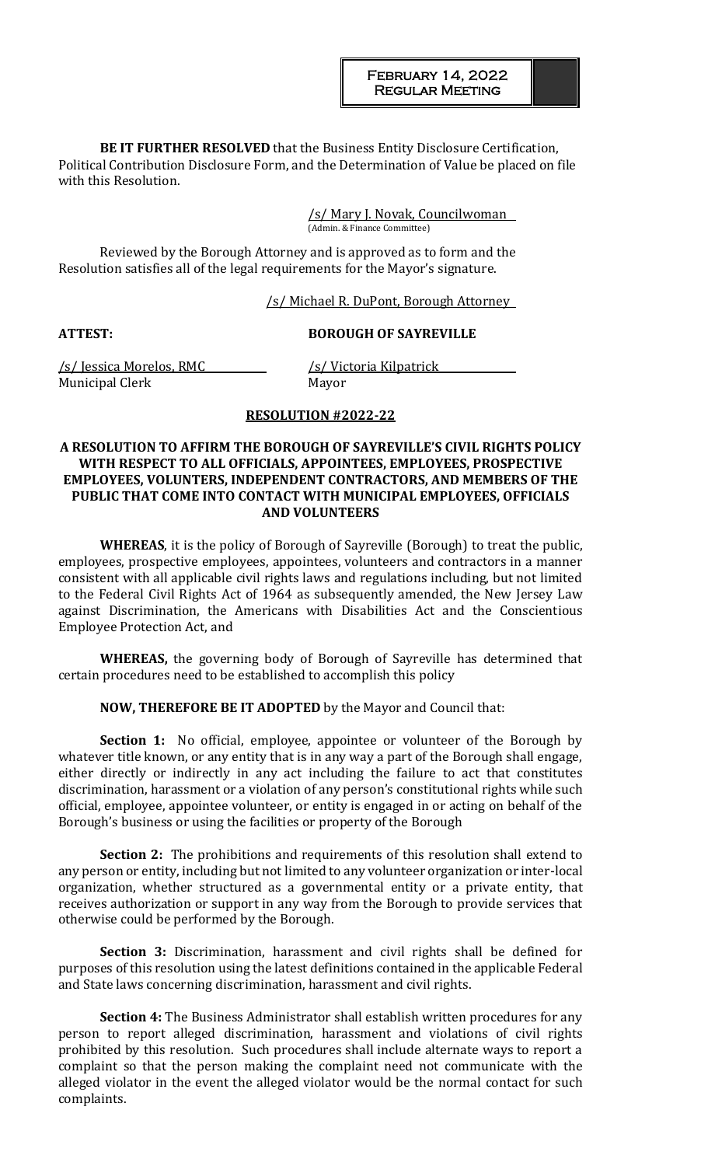**BE IT FURTHER RESOLVED** that the Business Entity Disclosure Certification, Political Contribution Disclosure Form, and the Determination of Value be placed on file with this Resolution.

> /s/ Mary J. Novak, Councilwoman (Admin. & Finance Committee)

Reviewed by the Borough Attorney and is approved as to form and the Resolution satisfies all of the legal requirements for the Mayor's signature.

#### /s/ Michael R. DuPont, Borough Attorney

#### **ATTEST: BOROUGH OF SAYREVILLE**

/s/ Jessica Morelos, RMC /s/ Victoria Kilpatrick Municipal Clerk Mayor

#### **RESOLUTION #2022-22**

### **A RESOLUTION TO AFFIRM THE BOROUGH OF SAYREVILLE'S CIVIL RIGHTS POLICY WITH RESPECT TO ALL OFFICIALS, APPOINTEES, EMPLOYEES, PROSPECTIVE EMPLOYEES, VOLUNTERS, INDEPENDENT CONTRACTORS, AND MEMBERS OF THE PUBLIC THAT COME INTO CONTACT WITH MUNICIPAL EMPLOYEES, OFFICIALS AND VOLUNTEERS**

**WHEREAS**, it is the policy of Borough of Sayreville (Borough) to treat the public, employees, prospective employees, appointees, volunteers and contractors in a manner consistent with all applicable civil rights laws and regulations including, but not limited to the Federal Civil Rights Act of 1964 as subsequently amended, the New Jersey Law against Discrimination, the Americans with Disabilities Act and the Conscientious Employee Protection Act, and

**WHEREAS,** the governing body of Borough of Sayreville has determined that certain procedures need to be established to accomplish this policy

**NOW, THEREFORE BE IT ADOPTED** by the Mayor and Council that:

**Section 1:** No official, employee, appointee or volunteer of the Borough by whatever title known, or any entity that is in any way a part of the Borough shall engage, either directly or indirectly in any act including the failure to act that constitutes discrimination, harassment or a violation of any person's constitutional rights while such official, employee, appointee volunteer, or entity is engaged in or acting on behalf of the Borough's business or using the facilities or property of the Borough

**Section 2:** The prohibitions and requirements of this resolution shall extend to any person or entity, including but not limited to any volunteer organization or inter-local organization, whether structured as a governmental entity or a private entity, that receives authorization or support in any way from the Borough to provide services that otherwise could be performed by the Borough.

**Section 3:** Discrimination, harassment and civil rights shall be defined for purposes of this resolution using the latest definitions contained in the applicable Federal and State laws concerning discrimination, harassment and civil rights.

**Section 4:** The Business Administrator shall establish written procedures for any person to report alleged discrimination, harassment and violations of civil rights prohibited by this resolution. Such procedures shall include alternate ways to report a complaint so that the person making the complaint need not communicate with the alleged violator in the event the alleged violator would be the normal contact for such complaints.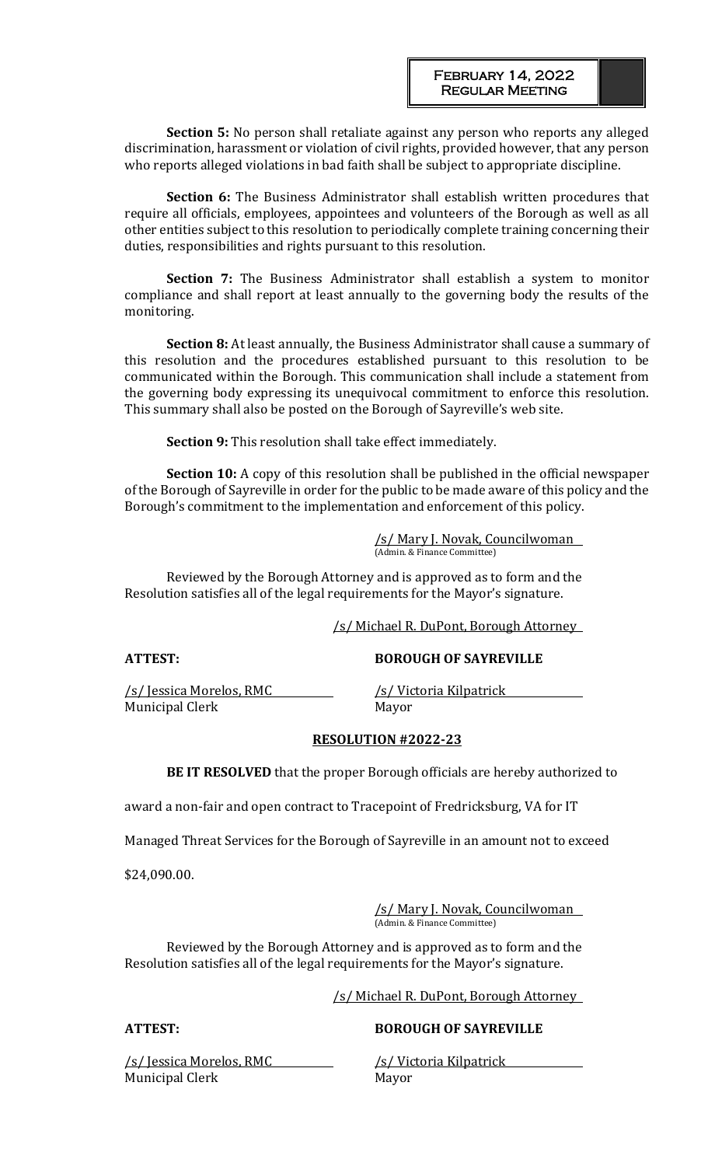**Section 5:** No person shall retaliate against any person who reports any alleged discrimination, harassment or violation of civil rights, provided however, that any person who reports alleged violations in bad faith shall be subject to appropriate discipline.

**Section 6:** The Business Administrator shall establish written procedures that require all officials, employees, appointees and volunteers of the Borough as well as all other entities subject to this resolution to periodically complete training concerning their duties, responsibilities and rights pursuant to this resolution.

**Section 7:** The Business Administrator shall establish a system to monitor compliance and shall report at least annually to the governing body the results of the monitoring.

**Section 8:** At least annually, the Business Administrator shall cause a summary of this resolution and the procedures established pursuant to this resolution to be communicated within the Borough. This communication shall include a statement from the governing body expressing its unequivocal commitment to enforce this resolution. This summary shall also be posted on the Borough of Sayreville's web site.

**Section 9:** This resolution shall take effect immediately.

**Section 10:** A copy of this resolution shall be published in the official newspaper of the Borough of Sayreville in order for the public to be made aware of this policy and the Borough's commitment to the implementation and enforcement of this policy.

> /s/ Mary J. Novak, Councilwoman (Admin. & Finance Committee)

Reviewed by the Borough Attorney and is approved as to form and the Resolution satisfies all of the legal requirements for the Mayor's signature.

/s/ Michael R. DuPont, Borough Attorney

**ATTEST: BOROUGH OF SAYREVILLE**

/s/ Jessica Morelos, RMC /s/ Victoria Kilpatrick Municipal Clerk Mayor

### **RESOLUTION #2022-23**

**BE IT RESOLVED** that the proper Borough officials are hereby authorized to

award a non-fair and open contract to Tracepoint of Fredricksburg, VA for IT

Managed Threat Services for the Borough of Sayreville in an amount not to exceed

\$24,090.00.

/s/ Mary J. Novak, Councilwoman (Admin. & Finance Committee)

Reviewed by the Borough Attorney and is approved as to form and the Resolution satisfies all of the legal requirements for the Mayor's signature.

/s/ Michael R. DuPont, Borough Attorney

# **ATTEST: BOROUGH OF SAYREVILLE**

/s/ Jessica Morelos, RMC /s/ Victoria Kilpatrick Municipal Clerk Mayor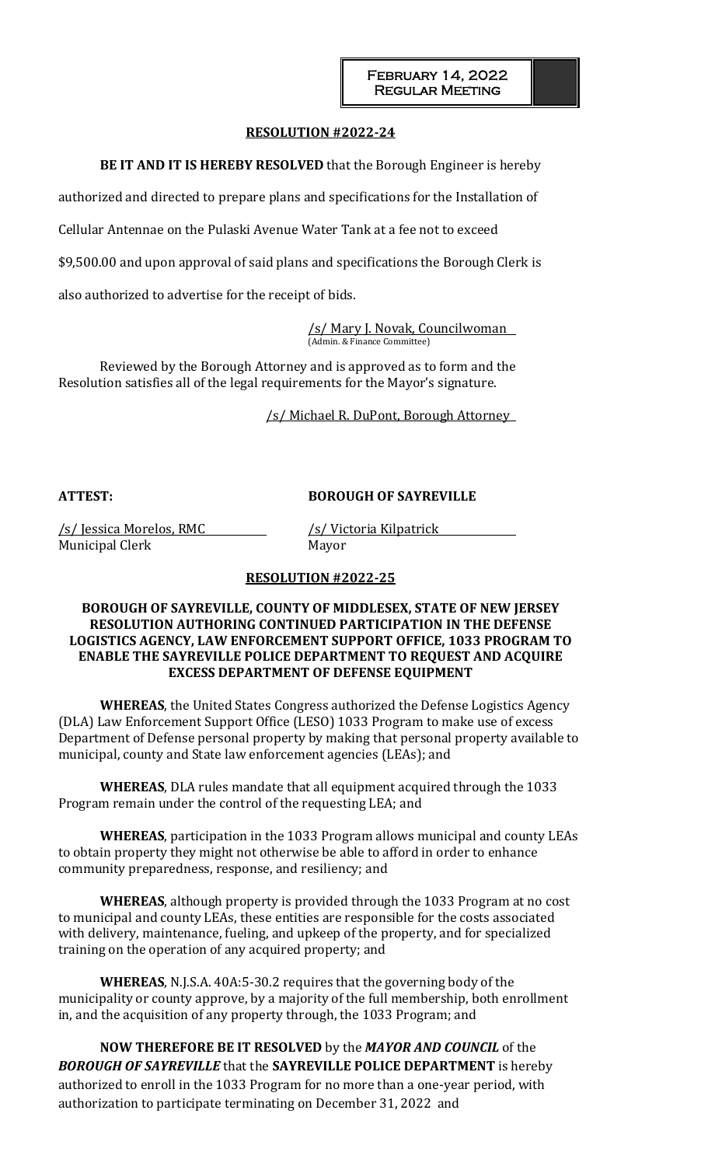### **RESOLUTION #2022-24**

**BE IT AND IT IS HEREBY RESOLVED** that the Borough Engineer is hereby

authorized and directed to prepare plans and specifications for the Installation of

Cellular Antennae on the Pulaski Avenue Water Tank at a fee not to exceed

\$9,500.00 and upon approval of said plans and specifications the Borough Clerk is

also authorized to advertise for the receipt of bids.

/s/ Mary J. Novak, Councilwoman (Admin. & Finance Committee)

Reviewed by the Borough Attorney and is approved as to form and the Resolution satisfies all of the legal requirements for the Mayor's signature.

/s/ Michael R. DuPont, Borough Attorney

# **ATTEST: BOROUGH OF SAYREVILLE**

/s/ Jessica Morelos, RMC /s/ Victoria Kilpatrick Municipal Clerk Mayor

# **RESOLUTION #2022-25**

## **BOROUGH OF SAYREVILLE, COUNTY OF MIDDLESEX, STATE OF NEW JERSEY RESOLUTION AUTHORING CONTINUED PARTICIPATION IN THE DEFENSE LOGISTICS AGENCY, LAW ENFORCEMENT SUPPORT OFFICE, 1033 PROGRAM TO ENABLE THE SAYREVILLE POLICE DEPARTMENT TO REQUEST AND ACQUIRE EXCESS DEPARTMENT OF DEFENSE EQUIPMENT**

**WHEREAS**, the United States Congress authorized the Defense Logistics Agency (DLA) Law Enforcement Support Office (LESO) 1033 Program to make use of excess Department of Defense personal property by making that personal property available to municipal, county and State law enforcement agencies (LEAs); and

**WHEREAS**, DLA rules mandate that all equipment acquired through the 1033 Program remain under the control of the requesting LEA; and

**WHEREAS**, participation in the 1033 Program allows municipal and county LEAs to obtain property they might not otherwise be able to afford in order to enhance community preparedness, response, and resiliency; and

**WHEREAS**, although property is provided through the 1033 Program at no cost to municipal and county LEAs, these entities are responsible for the costs associated with delivery, maintenance, fueling, and upkeep of the property, and for specialized training on the operation of any acquired property; and

**WHEREAS**, N.J.S.A. 40A:5‐30.2 requires that the governing body of the municipality or county approve, by a majority of the full membership, both enrollment in, and the acquisition of any property through, the 1033 Program; and

**NOW THEREFORE BE IT RESOLVED** by the *MAYOR AND COUNCIL* of the *BOROUGH OF SAYREVILLE* that the **SAYREVILLE POLICE DEPARTMENT** is hereby authorized to enroll in the 1033 Program for no more than a one‐year period, with authorization to participate terminating on December 31, 2022 and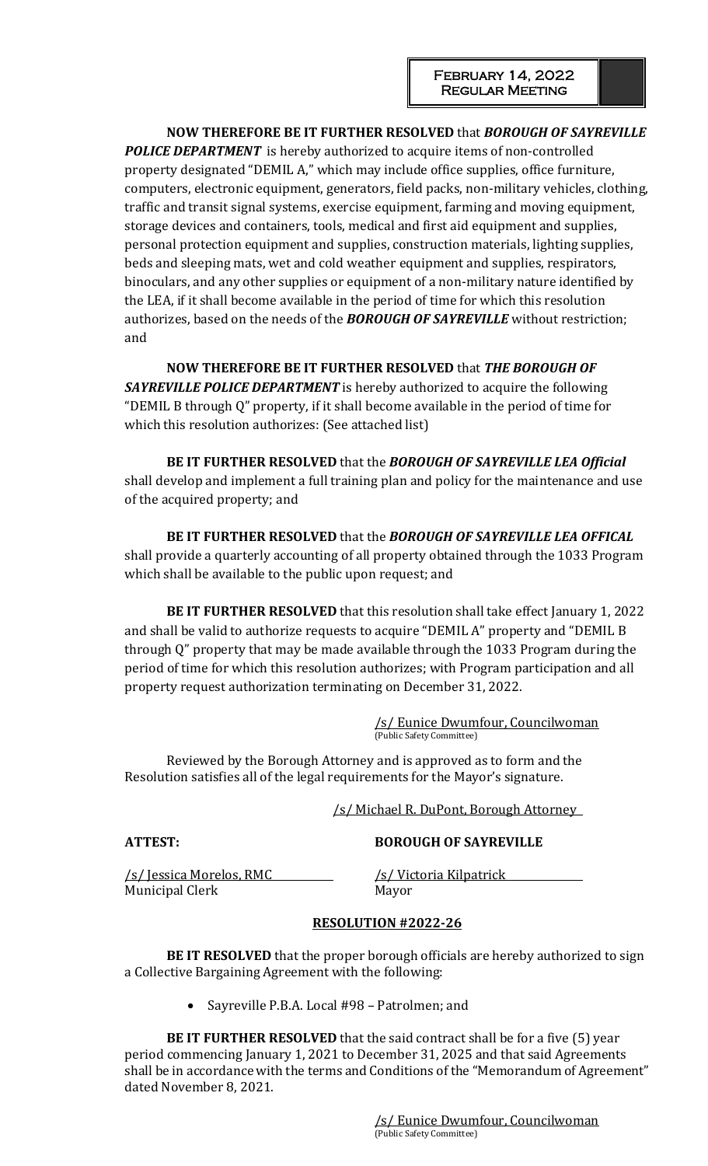**NOW THEREFORE BE IT FURTHER RESOLVED** that *BOROUGH OF SAYREVILLE*  **POLICE DEPARTMENT** is hereby authorized to acquire items of non-controlled property designated "DEMIL A," which may include office supplies, office furniture, computers, electronic equipment, generators, field packs, non‐military vehicles, clothing, traffic and transit signal systems, exercise equipment, farming and moving equipment, storage devices and containers, tools, medical and first aid equipment and supplies, personal protection equipment and supplies, construction materials, lighting supplies, beds and sleeping mats, wet and cold weather equipment and supplies, respirators, binoculars, and any other supplies or equipment of a non‐military nature identified by the LEA, if it shall become available in the period of time for which this resolution authorizes, based on the needs of the *BOROUGH OF SAYREVILLE* without restriction; and

**NOW THEREFORE BE IT FURTHER RESOLVED** that *THE BOROUGH OF*  **SAYREVILLE POLICE DEPARTMENT** is hereby authorized to acquire the following "DEMIL B through Q" property, if it shall become available in the period of time for which this resolution authorizes: (See attached list)

**BE IT FURTHER RESOLVED** that the *BOROUGH OF SAYREVILLE LEA Official*  shall develop and implement a full training plan and policy for the maintenance and use of the acquired property; and

**BE IT FURTHER RESOLVED** that the *BOROUGH OF SAYREVILLE LEA OFFICAL*  shall provide a quarterly accounting of all property obtained through the 1033 Program which shall be available to the public upon request; and

**BE IT FURTHER RESOLVED** that this resolution shall take effect January 1, 2022 and shall be valid to authorize requests to acquire "DEMIL A" property and "DEMIL B through Q" property that may be made available through the 1033 Program during the period of time for which this resolution authorizes; with Program participation and all property request authorization terminating on December 31, 2022.

> /s/ Eunice Dwumfour, Councilwoman (Public Safety Committee)

Reviewed by the Borough Attorney and is approved as to form and the Resolution satisfies all of the legal requirements for the Mayor's signature.

/s/ Michael R. DuPont, Borough Attorney

# **ATTEST: BOROUGH OF SAYREVILLE**

/s/ Jessica Morelos, RMC /s/ Victoria Kilpatrick Municipal Clerk Mayor

# **RESOLUTION #2022-26**

**BE IT RESOLVED** that the proper borough officials are hereby authorized to sign a Collective Bargaining Agreement with the following:

• Sayreville P.B.A. Local #98 – Patrolmen; and

**BE IT FURTHER RESOLVED** that the said contract shall be for a five (5) year period commencing January 1, 2021 to December 31, 2025 and that said Agreements shall be in accordance with the terms and Conditions of the "Memorandum of Agreement" dated November 8, 2021.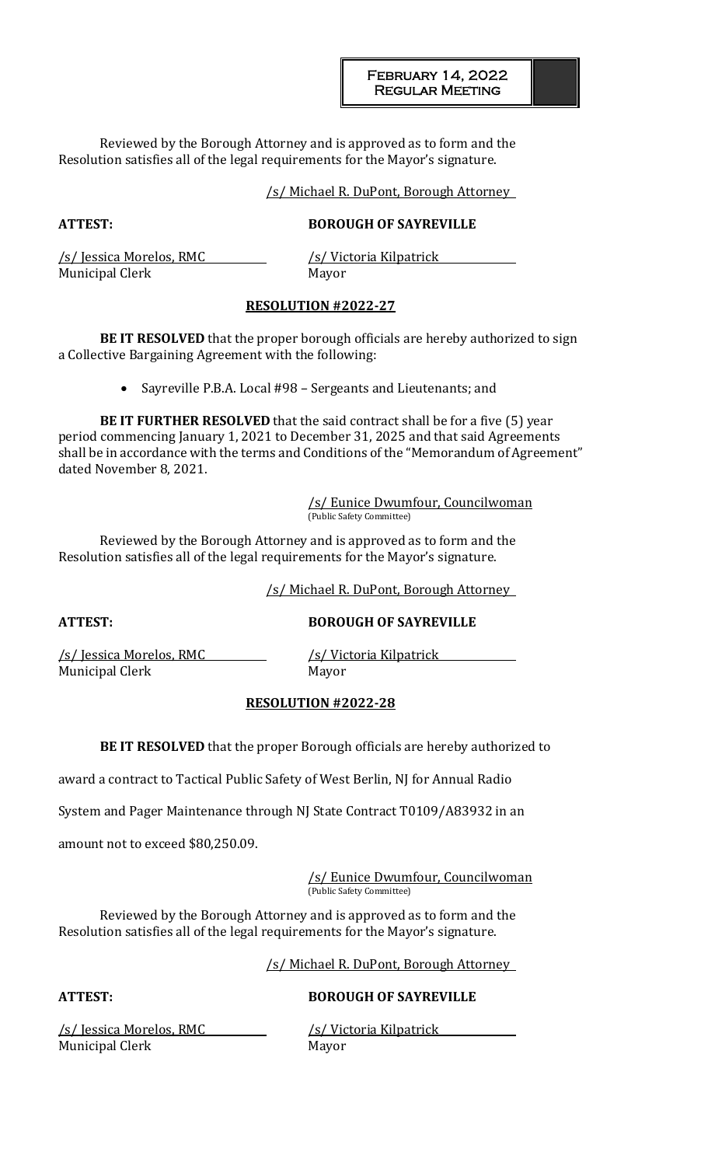Reviewed by the Borough Attorney and is approved as to form and the Resolution satisfies all of the legal requirements for the Mayor's signature.

#### /s/ Michael R. DuPont, Borough Attorney

# **ATTEST: BOROUGH OF SAYREVILLE**

Municipal Clerk Mayor

/s/ Jessica Morelos, RMC /s/ Victoria Kilpatrick

### **RESOLUTION #2022-27**

**BE IT RESOLVED** that the proper borough officials are hereby authorized to sign a Collective Bargaining Agreement with the following:

• Sayreville P.B.A. Local #98 – Sergeants and Lieutenants; and

**BE IT FURTHER RESOLVED** that the said contract shall be for a five (5) year period commencing January 1, 2021 to December 31, 2025 and that said Agreements shall be in accordance with the terms and Conditions of the "Memorandum of Agreement" dated November 8, 2021.

> /s/ Eunice Dwumfour, Councilwoman (Public Safety Committee)

Reviewed by the Borough Attorney and is approved as to form and the Resolution satisfies all of the legal requirements for the Mayor's signature.

/s/ Michael R. DuPont, Borough Attorney

**ATTEST: BOROUGH OF SAYREVILLE**

/s/ Jessica Morelos, RMC /s/ Victoria Kilpatrick Municipal Clerk Mayor

### **RESOLUTION #2022-28**

**BE IT RESOLVED** that the proper Borough officials are hereby authorized to

award a contract to Tactical Public Safety of West Berlin, NJ for Annual Radio

System and Pager Maintenance through NJ State Contract T0109/A83932 in an

amount not to exceed \$80,250.09.

/s/ Eunice Dwumfour, Councilwoman (Public Safety Committee)

Reviewed by the Borough Attorney and is approved as to form and the Resolution satisfies all of the legal requirements for the Mayor's signature.

/s/ Michael R. DuPont, Borough Attorney

## **ATTEST: BOROUGH OF SAYREVILLE**

/s/ Jessica Morelos, RMC /s/ Victoria Kilpatrick Municipal Clerk Mayor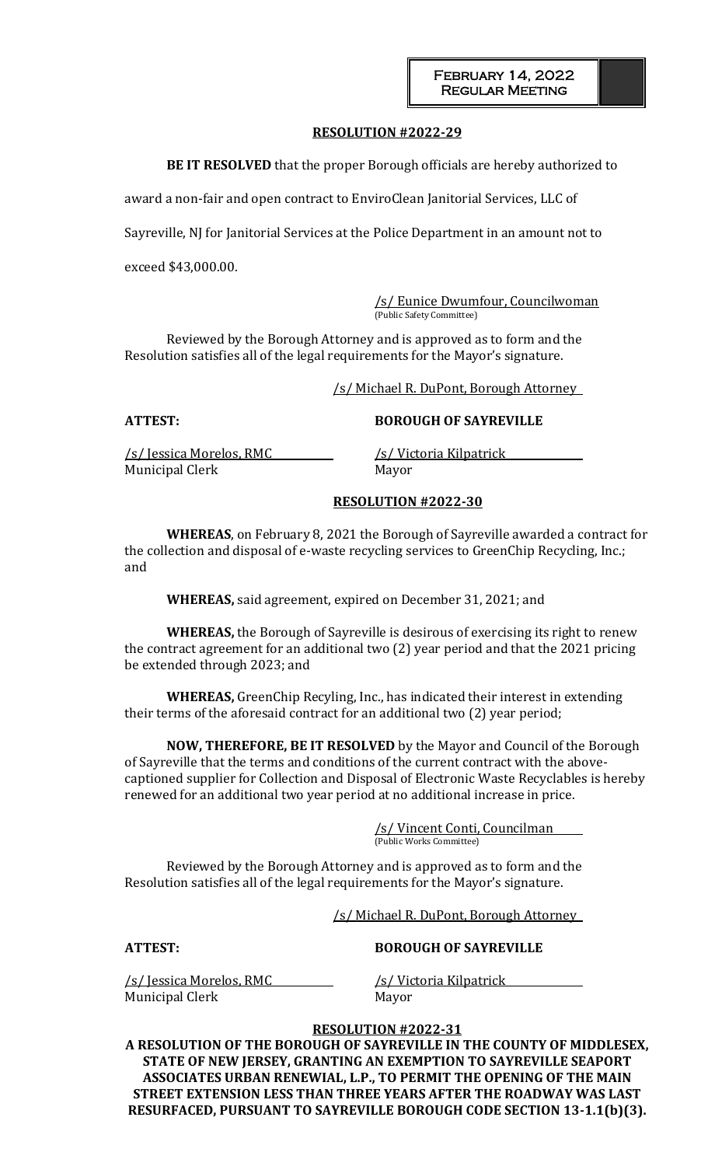## **RESOLUTION #2022-29**

**BE IT RESOLVED** that the proper Borough officials are hereby authorized to

award a non-fair and open contract to EnviroClean Janitorial Services, LLC of

Sayreville, NJ for Janitorial Services at the Police Department in an amount not to

exceed \$43,000.00.

/s/ Eunice Dwumfour, Councilwoman (Public Safety Committee)

Reviewed by the Borough Attorney and is approved as to form and the Resolution satisfies all of the legal requirements for the Mayor's signature.

/s/ Michael R. DuPont, Borough Attorney

**ATTEST: BOROUGH OF SAYREVILLE**

/s/ Jessica Morelos, RMC /s/ Victoria Kilpatrick Municipal Clerk Mayor

## **RESOLUTION #2022-30**

**WHEREAS**, on February 8, 2021 the Borough of Sayreville awarded a contract for the collection and disposal of e-waste recycling services to GreenChip Recycling, Inc.; and

**WHEREAS,** said agreement, expired on December 31, 2021; and

**WHEREAS,** the Borough of Sayreville is desirous of exercising its right to renew the contract agreement for an additional two (2) year period and that the 2021 pricing be extended through 2023; and

**WHEREAS,** GreenChip Recyling, Inc., has indicated their interest in extending their terms of the aforesaid contract for an additional two (2) year period;

**NOW, THEREFORE, BE IT RESOLVED** by the Mayor and Council of the Borough of Sayreville that the terms and conditions of the current contract with the abovecaptioned supplier for Collection and Disposal of Electronic Waste Recyclables is hereby renewed for an additional two year period at no additional increase in price.

> /s/ Vincent Conti, Councilman (Public Works Committee)

Reviewed by the Borough Attorney and is approved as to form and the Resolution satisfies all of the legal requirements for the Mayor's signature.

/s/ Michael R. DuPont, Borough Attorney

### **ATTEST: BOROUGH OF SAYREVILLE**

/s/ Jessica Morelos, RMC /s/ Victoria Kilpatrick Municipal Clerk Mayor

# **RESOLUTION #2022-31**

**A RESOLUTION OF THE BOROUGH OF SAYREVILLE IN THE COUNTY OF MIDDLESEX, STATE OF NEW JERSEY, GRANTING AN EXEMPTION TO SAYREVILLE SEAPORT ASSOCIATES URBAN RENEWIAL, L.P., TO PERMIT THE OPENING OF THE MAIN STREET EXTENSION LESS THAN THREE YEARS AFTER THE ROADWAY WAS LAST RESURFACED, PURSUANT TO SAYREVILLE BOROUGH CODE SECTION 13-1.1(b)(3).**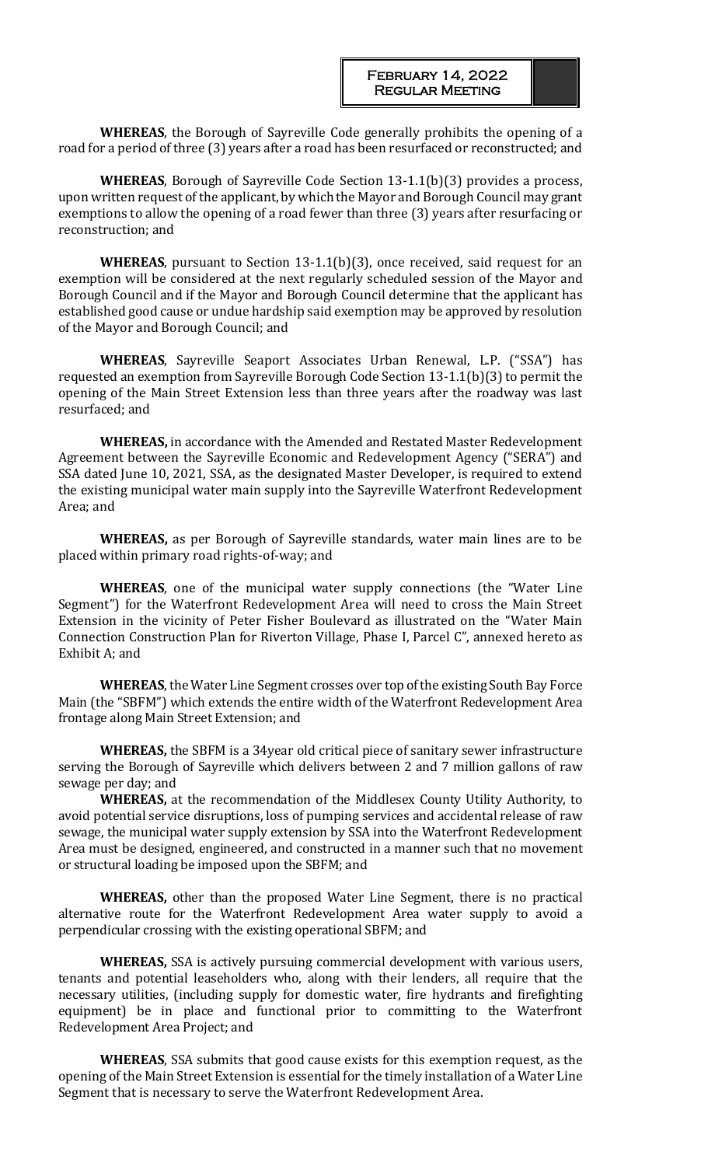**WHEREAS**, the Borough of Sayreville Code generally prohibits the opening of a road for a period of three (3) years after a road has been resurfaced or reconstructed; and

**WHEREAS**, Borough of Sayreville Code Section 13-1.1(b)(3) provides a process, upon written request of the applicant, by which the Mayor and Borough Council may grant exemptions to allow the opening of a road fewer than three (3) years after resurfacing or reconstruction; and

**WHEREAS**, pursuant to Section 13-1.1(b)(3), once received, said request for an exemption will be considered at the next regularly scheduled session of the Mayor and Borough Council and if the Mayor and Borough Council determine that the applicant has established good cause or undue hardship said exemption may be approved by resolution of the Mayor and Borough Council; and

**WHEREAS**, Sayreville Seaport Associates Urban Renewal, L.P. ("SSA") has requested an exemption from Sayreville Borough Code Section 13-1.1(b)(3) to permit the opening of the Main Street Extension less than three years after the roadway was last resurfaced; and

**WHEREAS,** in accordance with the Amended and Restated Master Redevelopment Agreement between the Sayreville Economic and Redevelopment Agency ("SERA") and SSA dated June 10, 2021, SSA, as the designated Master Developer, is required to extend the existing municipal water main supply into the Sayreville Waterfront Redevelopment Area; and

**WHEREAS,** as per Borough of Sayreville standards, water main lines are to be placed within primary road rights-of-way; and

**WHEREAS**, one of the municipal water supply connections (the "Water Line Segment") for the Waterfront Redevelopment Area will need to cross the Main Street Extension in the vicinity of Peter Fisher Boulevard as illustrated on the "Water Main Connection Construction Plan for Riverton Village, Phase I, Parcel C", annexed hereto as Exhibit A; and

**WHEREAS**, the Water Line Segment crosses over top of the existing South Bay Force Main (the "SBFM") which extends the entire width of the Waterfront Redevelopment Area frontage along Main Street Extension; and

**WHEREAS,** the SBFM is a 34year old critical piece of sanitary sewer infrastructure serving the Borough of Sayreville which delivers between 2 and 7 million gallons of raw sewage per day; and

**WHEREAS,** at the recommendation of the Middlesex County Utility Authority, to avoid potential service disruptions, loss of pumping services and accidental release of raw sewage, the municipal water supply extension by SSA into the Waterfront Redevelopment Area must be designed, engineered, and constructed in a manner such that no movement or structural loading be imposed upon the SBFM; and

**WHEREAS,** other than the proposed Water Line Segment, there is no practical alternative route for the Waterfront Redevelopment Area water supply to avoid a perpendicular crossing with the existing operational SBFM; and

**WHEREAS,** SSA is actively pursuing commercial development with various users, tenants and potential leaseholders who, along with their lenders, all require that the necessary utilities, (including supply for domestic water, fire hydrants and firefighting equipment) be in place and functional prior to committing to the Waterfront Redevelopment Area Project; and

**WHEREAS**, SSA submits that good cause exists for this exemption request, as the opening of the Main Street Extension is essential for the timely installation of a Water Line Segment that is necessary to serve the Waterfront Redevelopment Area.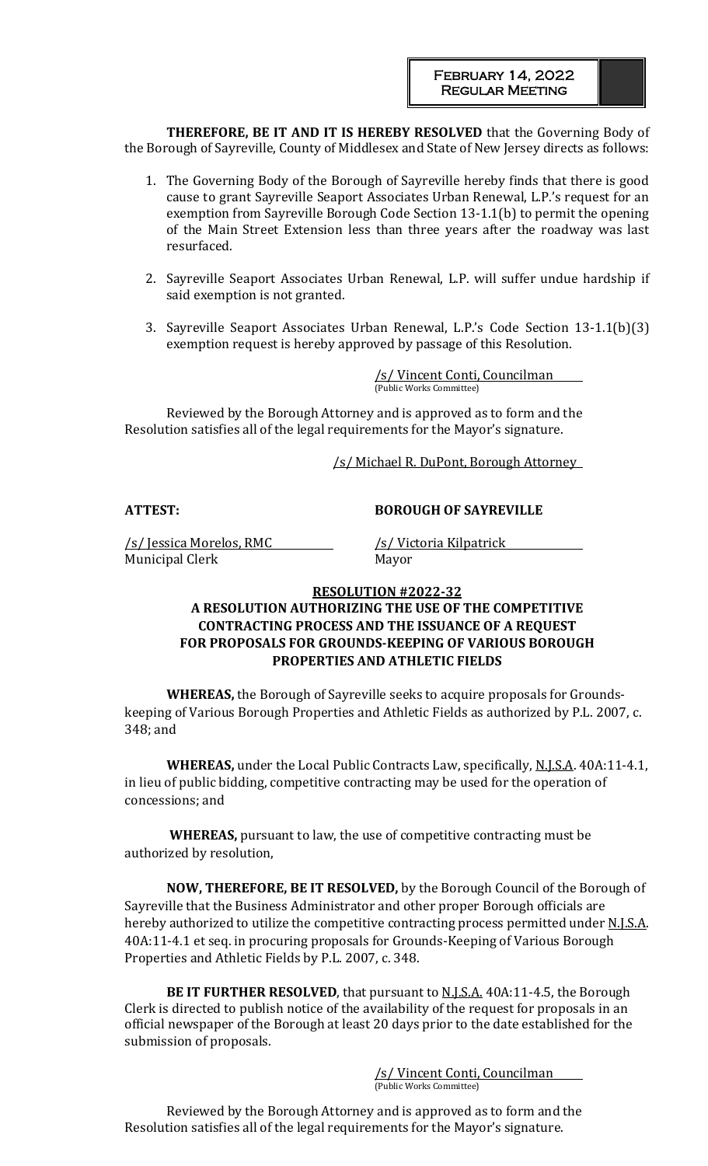**THEREFORE, BE IT AND IT IS HEREBY RESOLVED** that the Governing Body of the Borough of Sayreville, County of Middlesex and State of New Jersey directs as follows:

- 1. The Governing Body of the Borough of Sayreville hereby finds that there is good cause to grant Sayreville Seaport Associates Urban Renewal, L.P.'s request for an exemption from Sayreville Borough Code Section 13-1.1(b) to permit the opening of the Main Street Extension less than three years after the roadway was last resurfaced.
- 2. Sayreville Seaport Associates Urban Renewal, L.P. will suffer undue hardship if said exemption is not granted.
- 3. Sayreville Seaport Associates Urban Renewal, L.P.'s Code Section 13-1.1(b)(3) exemption request is hereby approved by passage of this Resolution.

/s/ Vincent Conti, Councilman (Public Works Committee)

Reviewed by the Borough Attorney and is approved as to form and the Resolution satisfies all of the legal requirements for the Mayor's signature.

/s/ Michael R. DuPont, Borough Attorney

**ATTEST: BOROUGH OF SAYREVILLE**

/s/ Jessica Morelos, RMC /s/ Victoria Kilpatrick Municipal Clerk Mayor

# **RESOLUTION #2022-32**

# **A RESOLUTION AUTHORIZING THE USE OF THE COMPETITIVE CONTRACTING PROCESS AND THE ISSUANCE OF A REQUEST FOR PROPOSALS FOR GROUNDS-KEEPING OF VARIOUS BOROUGH PROPERTIES AND ATHLETIC FIELDS**

**WHEREAS,** the Borough of Sayreville seeks to acquire proposals for Groundskeeping of Various Borough Properties and Athletic Fields as authorized by P.L. 2007, c. 348; and

**WHEREAS,** under the Local Public Contracts Law, specifically, N.J.S.A. 40A:11-4.1, in lieu of public bidding, competitive contracting may be used for the operation of concessions; and

**WHEREAS,** pursuant to law, the use of competitive contracting must be authorized by resolution,

**NOW, THEREFORE, BE IT RESOLVED,** by the Borough Council of the Borough of Sayreville that the Business Administrator and other proper Borough officials are hereby authorized to utilize the competitive contracting process permitted under N.J.S.A. 40A:11-4.1 et seq. in procuring proposals for Grounds-Keeping of Various Borough Properties and Athletic Fields by P.L. 2007, c. 348.

**BE IT FURTHER RESOLVED**, that pursuant to **N.J.S.A.** 40A:11-4.5, the Borough Clerk is directed to publish notice of the availability of the request for proposals in an official newspaper of the Borough at least 20 days prior to the date established for the submission of proposals.

> /s/ Vincent Conti, Councilman (Public Works Committee)

Reviewed by the Borough Attorney and is approved as to form and the Resolution satisfies all of the legal requirements for the Mayor's signature.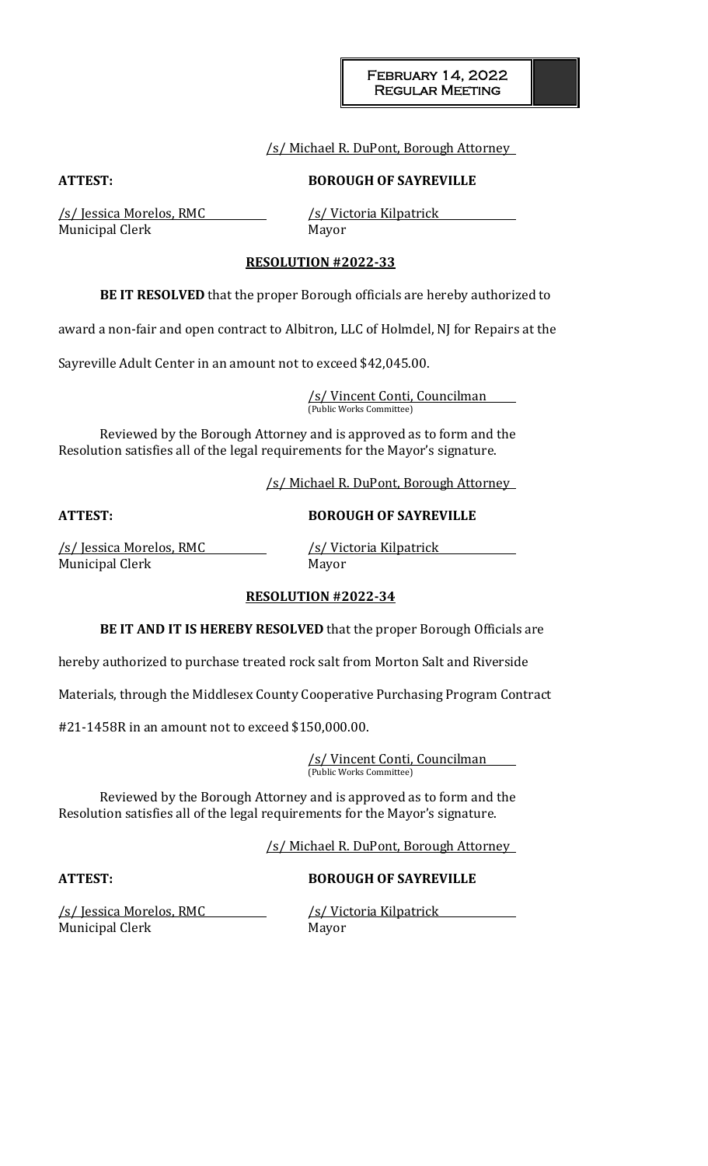### /s/ Michael R. DuPont, Borough Attorney

**ATTEST: BOROUGH OF SAYREVILLE**

/s/ Jessica Morelos, RMC /s/ Victoria Kilpatrick Municipal Clerk Mayor

## **RESOLUTION #2022-33**

**BE IT RESOLVED** that the proper Borough officials are hereby authorized to

award a non-fair and open contract to Albitron, LLC of Holmdel, NJ for Repairs at the

Sayreville Adult Center in an amount not to exceed \$42,045.00.

/s/ Vincent Conti, Councilman (Public Works Committee)

Reviewed by the Borough Attorney and is approved as to form and the Resolution satisfies all of the legal requirements for the Mayor's signature.

/s/ Michael R. DuPont, Borough Attorney

**ATTEST: BOROUGH OF SAYREVILLE**

/s/ Jessica Morelos, RMC /s/ Victoria Kilpatrick Municipal Clerk Mayor

### **RESOLUTION #2022-34**

**BE IT AND IT IS HEREBY RESOLVED** that the proper Borough Officials are

hereby authorized to purchase treated rock salt from Morton Salt and Riverside

Materials, through the Middlesex County Cooperative Purchasing Program Contract

#21-1458R in an amount not to exceed \$150,000.00.

/s/ Vincent Conti, Councilman (Public Works Committee)

Reviewed by the Borough Attorney and is approved as to form and the Resolution satisfies all of the legal requirements for the Mayor's signature.

/s/ Michael R. DuPont, Borough Attorney

# **ATTEST: BOROUGH OF SAYREVILLE**

Municipal Clerk Mayor

/s/ Jessica Morelos, RMC /s/ Victoria Kilpatrick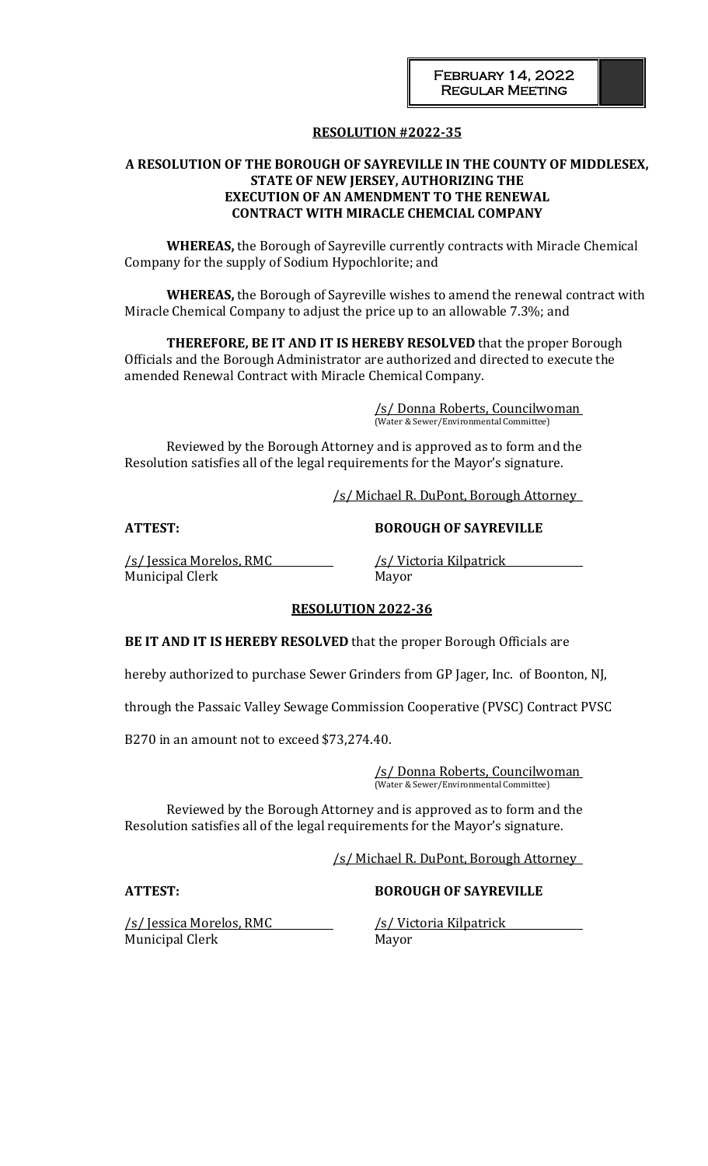# **RESOLUTION #2022-35**

### **A RESOLUTION OF THE BOROUGH OF SAYREVILLE IN THE COUNTY OF MIDDLESEX, STATE OF NEW JERSEY, AUTHORIZING THE EXECUTION OF AN AMENDMENT TO THE RENEWAL CONTRACT WITH MIRACLE CHEMCIAL COMPANY**

**WHEREAS,** the Borough of Sayreville currently contracts with Miracle Chemical Company for the supply of Sodium Hypochlorite; and

**WHEREAS,** the Borough of Sayreville wishes to amend the renewal contract with Miracle Chemical Company to adjust the price up to an allowable 7.3%; and

**THEREFORE, BE IT AND IT IS HEREBY RESOLVED** that the proper Borough Officials and the Borough Administrator are authorized and directed to execute the amended Renewal Contract with Miracle Chemical Company.

> /s/ Donna Roberts, Councilwoman (Water & Sewer/Environmental Committee)

Reviewed by the Borough Attorney and is approved as to form and the Resolution satisfies all of the legal requirements for the Mayor's signature.

/s/ Michael R. DuPont, Borough Attorney

/s/ Jessica Morelos, RMC /s/ Victoria Kilpatrick Municipal Clerk Mayor

**ATTEST: BOROUGH OF SAYREVILLE**

### **RESOLUTION 2022-36**

**BE IT AND IT IS HEREBY RESOLVED** that the proper Borough Officials are

hereby authorized to purchase Sewer Grinders from GP Jager, Inc. of Boonton, NJ,

through the Passaic Valley Sewage Commission Cooperative (PVSC) Contract PVSC

B270 in an amount not to exceed \$73,274.40.

/s/ Donna Roberts, Councilwoman (Water & Sewer/Environmental Committee)

Reviewed by the Borough Attorney and is approved as to form and the Resolution satisfies all of the legal requirements for the Mayor's signature.

/s/ Michael R. DuPont, Borough Attorney

### **ATTEST: BOROUGH OF SAYREVILLE**

/s/ Jessica Morelos, RMC /s/ Victoria Kilpatrick Municipal Clerk Mayor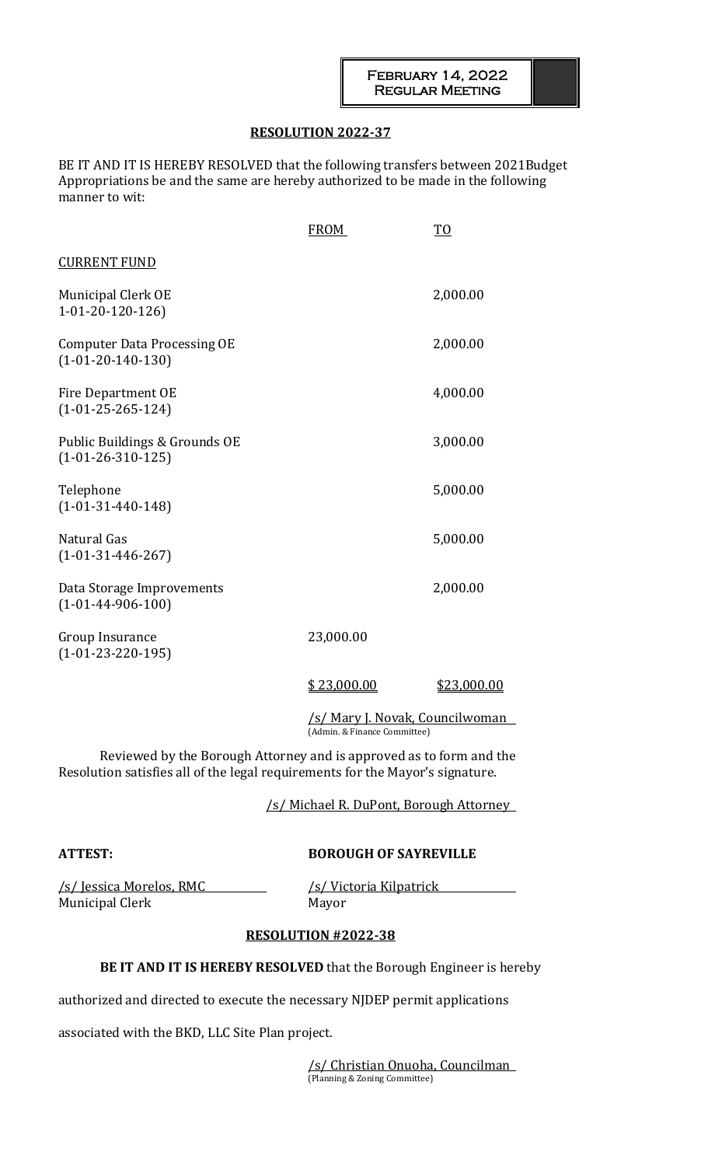## **RESOLUTION 2022-37**

BE IT AND IT IS HEREBY RESOLVED that the following transfers between 2021Budget Appropriations be and the same are hereby authorized to be made in the following manner to wit:

|                                                           | <b>FROM</b> | T <sub>0</sub>                         |
|-----------------------------------------------------------|-------------|----------------------------------------|
| <b>CURRENT FUND</b>                                       |             |                                        |
| Municipal Clerk OE<br>$1-01-20-120-126$                   |             | 2,000.00                               |
| <b>Computer Data Processing OE</b><br>$(1-01-20-140-130)$ |             | 2,000.00                               |
| Fire Department OE<br>$(1-01-25-265-124)$                 |             | 4,000.00                               |
| Public Buildings & Grounds OE<br>$(1-01-26-310-125)$      |             | 3,000.00                               |
| Telephone<br>$(1-01-31-440-148)$                          |             | 5,000.00                               |
| Natural Gas<br>$(1-01-31-446-267)$                        |             | 5,000.00                               |
| Data Storage Improvements<br>$(1-01-44-906-100)$          |             | 2,000.00                               |
| Group Insurance<br>$(1-01-23-220-195)$                    | 23,000.00   |                                        |
|                                                           | \$23,000.00 | \$23,000.00                            |
|                                                           |             | <u>/s/ Mary J. Novak, Councilwoman</u> |

(Admin. & Finance Committee)

Reviewed by the Borough Attorney and is approved as to form and the Resolution satisfies all of the legal requirements for the Mayor's signature.

/s/ Michael R. DuPont, Borough Attorney

# **ATTEST: BOROUGH OF SAYREVILLE**

/s/ Jessica Morelos, RMC /s/ Victoria Kilpatrick Municipal Clerk Mayor

# **RESOLUTION #2022-38**

# **BE IT AND IT IS HEREBY RESOLVED** that the Borough Engineer is hereby

authorized and directed to execute the necessary NJDEP permit applications

associated with the BKD, LLC Site Plan project.

/s/ Christian Onuoha, Councilman (Planning & Zoning Committee)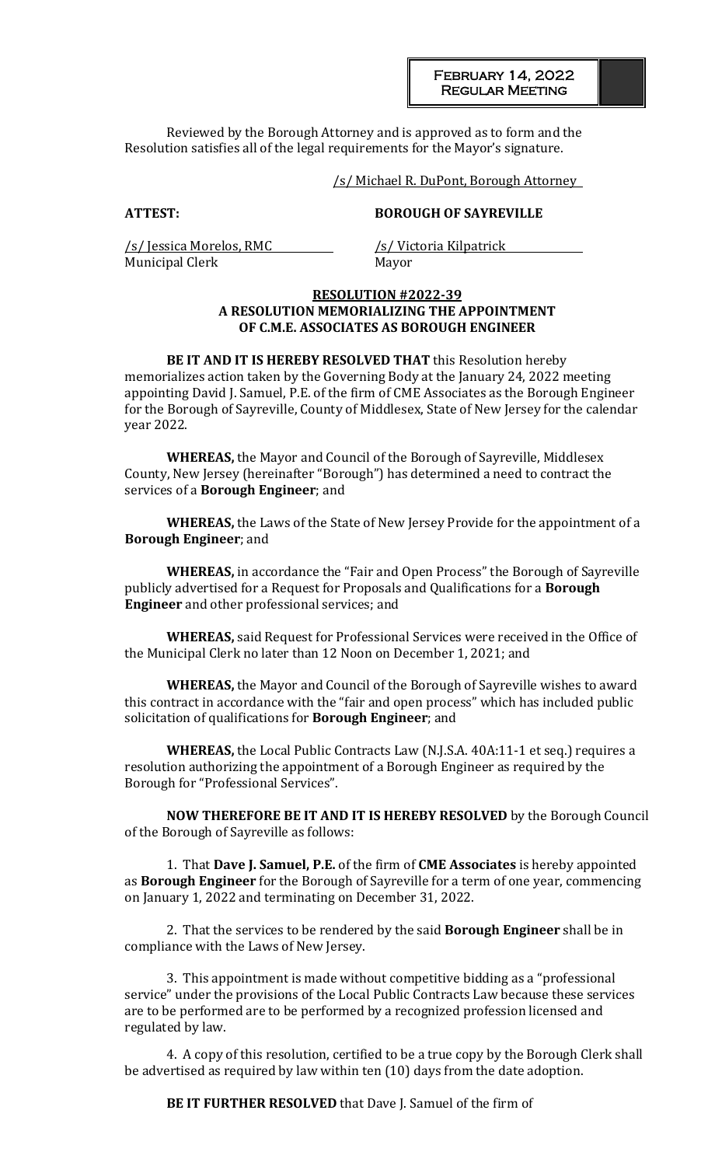February 14, 2022 Regular Meeting

Reviewed by the Borough Attorney and is approved as to form and the Resolution satisfies all of the legal requirements for the Mayor's signature.

/s/ Michael R. DuPont, Borough Attorney

### **ATTEST: BOROUGH OF SAYREVILLE**

/s/ Jessica Morelos, RMC /s/ Victoria Kilpatrick Municipal Clerk Mayor

#### **RESOLUTION #2022-39 A RESOLUTION MEMORIALIZING THE APPOINTMENT OF C.M.E. ASSOCIATES AS BOROUGH ENGINEER**

**BE IT AND IT IS HEREBY RESOLVED THAT** this Resolution hereby memorializes action taken by the Governing Body at the January 24, 2022 meeting appointing David J. Samuel, P.E. of the firm of CME Associates as the Borough Engineer for the Borough of Sayreville, County of Middlesex, State of New Jersey for the calendar year 2022.

**WHEREAS,** the Mayor and Council of the Borough of Sayreville, Middlesex County, New Jersey (hereinafter "Borough") has determined a need to contract the services of a **Borough Engineer**; and

**WHEREAS,** the Laws of the State of New Jersey Provide for the appointment of a **Borough Engineer**; and

**WHEREAS,** in accordance the "Fair and Open Process" the Borough of Sayreville publicly advertised for a Request for Proposals and Qualifications for a **Borough Engineer** and other professional services; and

**WHEREAS,** said Request for Professional Services were received in the Office of the Municipal Clerk no later than 12 Noon on December 1, 2021; and

**WHEREAS,** the Mayor and Council of the Borough of Sayreville wishes to award this contract in accordance with the "fair and open process" which has included public solicitation of qualifications for **Borough Engineer**; and

**WHEREAS,** the Local Public Contracts Law (N.J.S.A. 40A:11-1 et seq.) requires a resolution authorizing the appointment of a Borough Engineer as required by the Borough for "Professional Services".

**NOW THEREFORE BE IT AND IT IS HEREBY RESOLVED** by the Borough Council of the Borough of Sayreville as follows:

1. That **Dave J. Samuel, P.E.** of the firm of **CME Associates** is hereby appointed as **Borough Engineer** for the Borough of Sayreville for a term of one year, commencing on January 1, 2022 and terminating on December 31, 2022.

2. That the services to be rendered by the said **Borough Engineer** shall be in compliance with the Laws of New Jersey.

3. This appointment is made without competitive bidding as a "professional service" under the provisions of the Local Public Contracts Law because these services are to be performed are to be performed by a recognized profession licensed and regulated by law.

4. A copy of this resolution, certified to be a true copy by the Borough Clerk shall be advertised as required by law within ten (10) days from the date adoption.

**BE IT FURTHER RESOLVED** that Dave J. Samuel of the firm of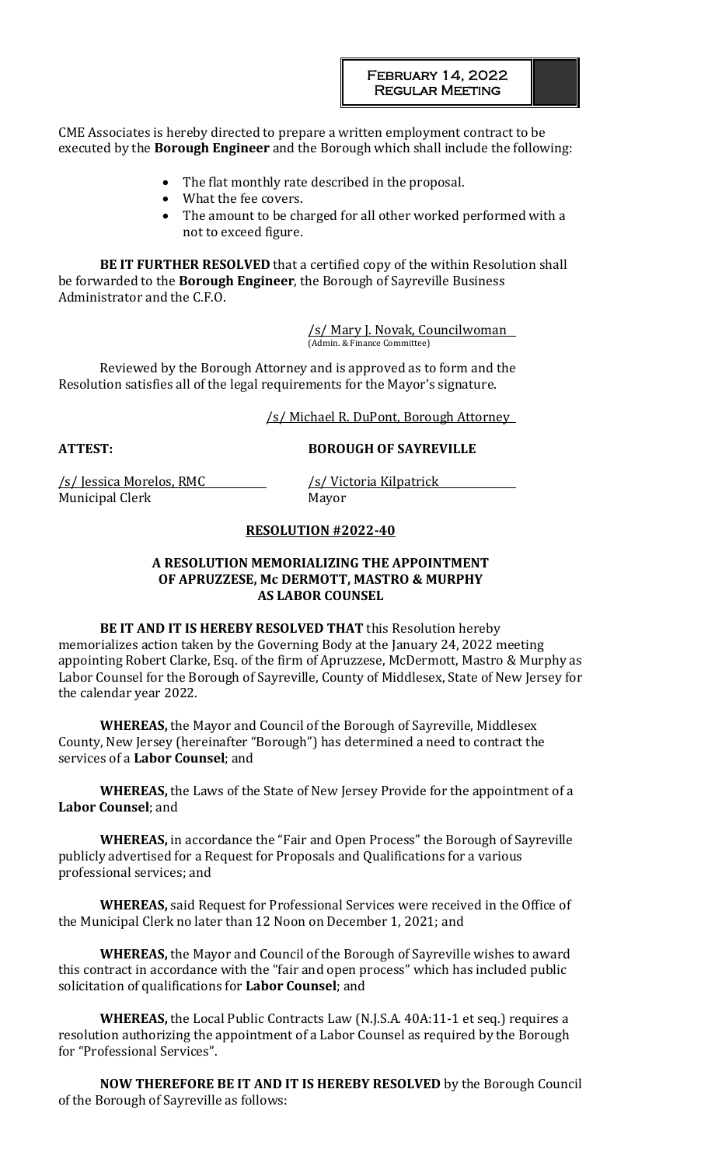CME Associates is hereby directed to prepare a written employment contract to be executed by the **Borough Engineer** and the Borough which shall include the following:

- The flat monthly rate described in the proposal.
- What the fee covers.
- The amount to be charged for all other worked performed with a not to exceed figure.

**BE IT FURTHER RESOLVED** that a certified copy of the within Resolution shall be forwarded to the **Borough Engineer**, the Borough of Sayreville Business Administrator and the C.F.O.

> /s/ Mary J. Novak, Councilwoman (Admin. & Finance Committee)

Reviewed by the Borough Attorney and is approved as to form and the Resolution satisfies all of the legal requirements for the Mayor's signature.

/s/ Michael R. DuPont, Borough Attorney

# **ATTEST: BOROUGH OF SAYREVILLE**

/s/ Jessica Morelos, RMC /s/ Victoria Kilpatrick Municipal Clerk Mayor

## **RESOLUTION #2022-40**

#### **A RESOLUTION MEMORIALIZING THE APPOINTMENT OF APRUZZESE, Mc DERMOTT, MASTRO & MURPHY AS LABOR COUNSEL**

**BE IT AND IT IS HEREBY RESOLVED THAT** this Resolution hereby memorializes action taken by the Governing Body at the January 24, 2022 meeting appointing Robert Clarke, Esq. of the firm of Apruzzese, McDermott, Mastro & Murphy as Labor Counsel for the Borough of Sayreville, County of Middlesex, State of New Jersey for the calendar year 2022.

**WHEREAS,** the Mayor and Council of the Borough of Sayreville, Middlesex County, New Jersey (hereinafter "Borough") has determined a need to contract the services of a **Labor Counsel**; and

**WHEREAS,** the Laws of the State of New Jersey Provide for the appointment of a **Labor Counsel**; and

**WHEREAS,** in accordance the "Fair and Open Process" the Borough of Sayreville publicly advertised for a Request for Proposals and Qualifications for a various professional services; and

**WHEREAS,** said Request for Professional Services were received in the Office of the Municipal Clerk no later than 12 Noon on December 1, 2021; and

**WHEREAS,** the Mayor and Council of the Borough of Sayreville wishes to award this contract in accordance with the "fair and open process" which has included public solicitation of qualifications for **Labor Counsel**; and

**WHEREAS,** the Local Public Contracts Law (N.J.S.A. 40A:11-1 et seq.) requires a resolution authorizing the appointment of a Labor Counsel as required by the Borough for "Professional Services".

**NOW THEREFORE BE IT AND IT IS HEREBY RESOLVED** by the Borough Council of the Borough of Sayreville as follows: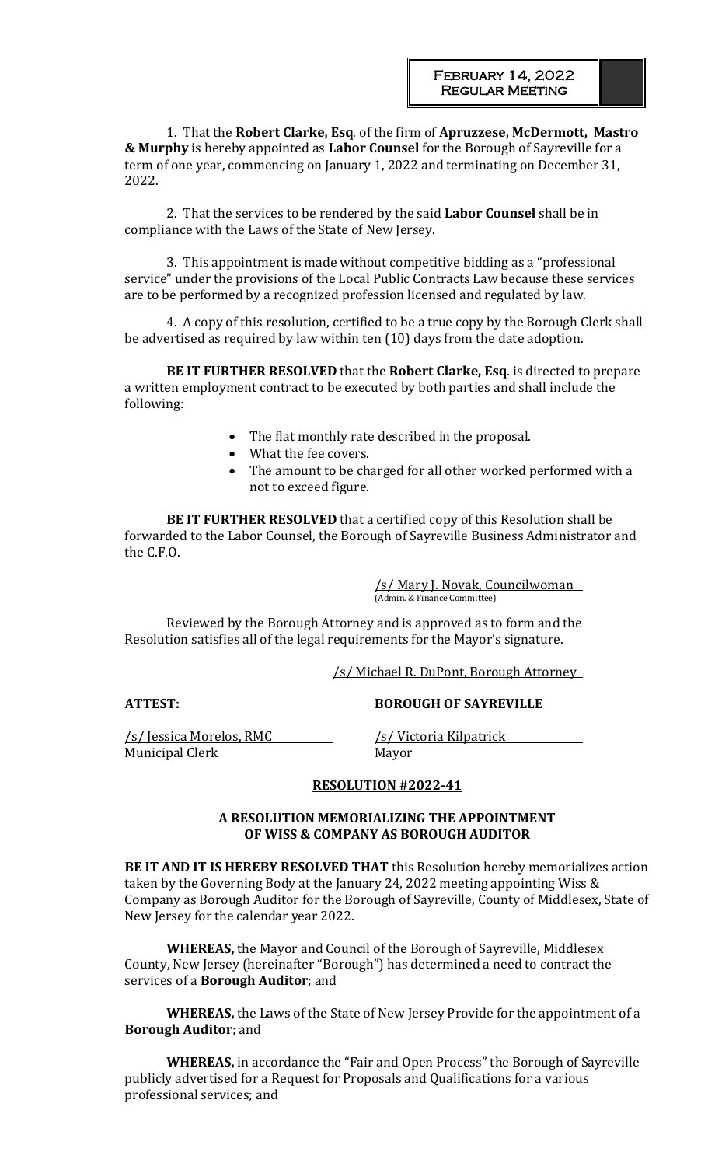1. That the **Robert Clarke, Esq**. of the firm of **Apruzzese, McDermott, Mastro & Murphy** is hereby appointed as **Labor Counsel** for the Borough of Sayreville for a term of one year, commencing on January 1, 2022 and terminating on December 31, 2022.

2. That the services to be rendered by the said **Labor Counsel** shall be in compliance with the Laws of the State of New Jersey.

3. This appointment is made without competitive bidding as a "professional service" under the provisions of the Local Public Contracts Law because these services are to be performed by a recognized profession licensed and regulated by law.

4. A copy of this resolution, certified to be a true copy by the Borough Clerk shall be advertised as required by law within ten (10) days from the date adoption.

**BE IT FURTHER RESOLVED** that the **Robert Clarke, Esq**. is directed to prepare a written employment contract to be executed by both parties and shall include the following:

- The flat monthly rate described in the proposal.
- What the fee covers.
- The amount to be charged for all other worked performed with a not to exceed figure.

**BE IT FURTHER RESOLVED** that a certified copy of this Resolution shall be forwarded to the Labor Counsel, the Borough of Sayreville Business Administrator and the C.F.O.

> /s/ Mary J. Novak, Councilwoman (Admin. & Finance Committee)

Reviewed by the Borough Attorney and is approved as to form and the Resolution satisfies all of the legal requirements for the Mayor's signature.

/s/ Michael R. DuPont, Borough Attorney

**ATTEST: BOROUGH OF SAYREVILLE**

/s/ Jessica Morelos, RMC /s/ Victoria Kilpatrick Municipal Clerk Mayor

### **RESOLUTION #2022-41**

### **A RESOLUTION MEMORIALIZING THE APPOINTMENT OF WISS & COMPANY AS BOROUGH AUDITOR**

**BE IT AND IT IS HEREBY RESOLVED THAT** this Resolution hereby memorializes action taken by the Governing Body at the January 24, 2022 meeting appointing Wiss & Company as Borough Auditor for the Borough of Sayreville, County of Middlesex, State of New Jersey for the calendar year 2022.

**WHEREAS,** the Mayor and Council of the Borough of Sayreville, Middlesex County, New Jersey (hereinafter "Borough") has determined a need to contract the services of a **Borough Auditor**; and

**WHEREAS,** the Laws of the State of New Jersey Provide for the appointment of a **Borough Auditor**; and

**WHEREAS,** in accordance the "Fair and Open Process" the Borough of Sayreville publicly advertised for a Request for Proposals and Qualifications for a various professional services; and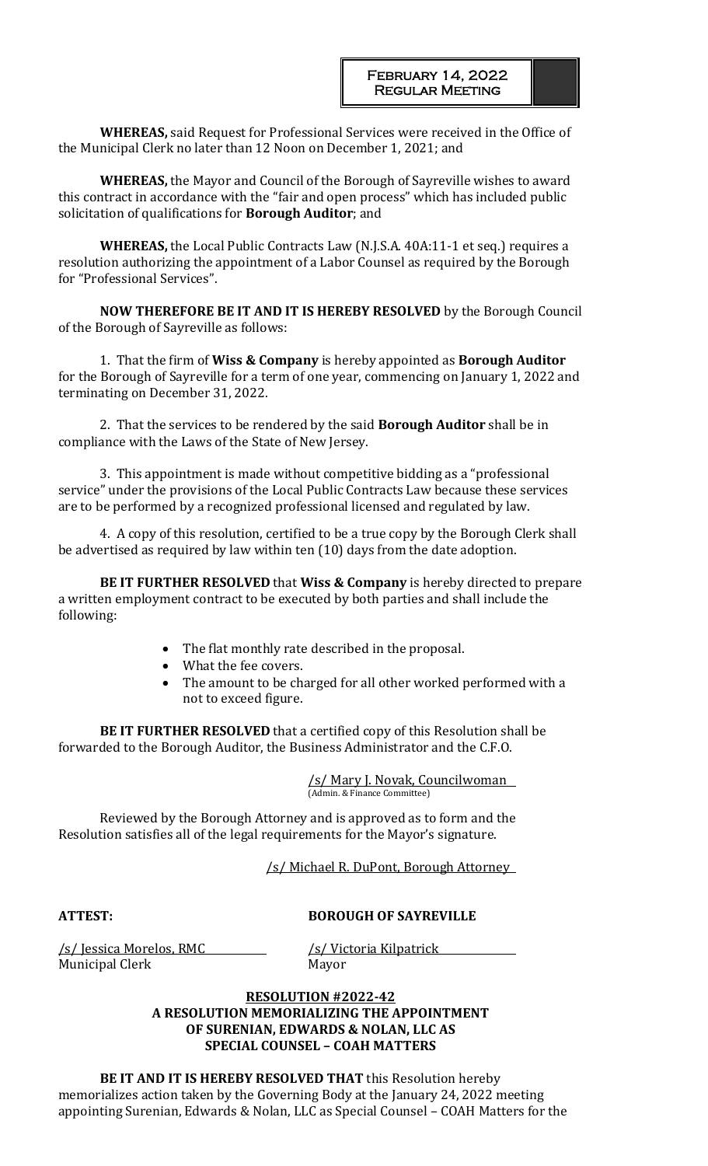**WHEREAS,** said Request for Professional Services were received in the Office of the Municipal Clerk no later than 12 Noon on December 1, 2021; and

**WHEREAS,** the Mayor and Council of the Borough of Sayreville wishes to award this contract in accordance with the "fair and open process" which has included public solicitation of qualifications for **Borough Auditor**; and

**WHEREAS,** the Local Public Contracts Law (N.J.S.A. 40A:11-1 et seq.) requires a resolution authorizing the appointment of a Labor Counsel as required by the Borough for "Professional Services".

**NOW THEREFORE BE IT AND IT IS HEREBY RESOLVED** by the Borough Council of the Borough of Sayreville as follows:

1. That the firm of **Wiss & Company** is hereby appointed as **Borough Auditor** for the Borough of Sayreville for a term of one year, commencing on January 1, 2022 and terminating on December 31, 2022.

2. That the services to be rendered by the said **Borough Auditor** shall be in compliance with the Laws of the State of New Jersey.

3. This appointment is made without competitive bidding as a "professional service" under the provisions of the Local Public Contracts Law because these services are to be performed by a recognized professional licensed and regulated by law.

4. A copy of this resolution, certified to be a true copy by the Borough Clerk shall be advertised as required by law within ten (10) days from the date adoption.

**BE IT FURTHER RESOLVED** that **Wiss & Company** is hereby directed to prepare a written employment contract to be executed by both parties and shall include the following:

- The flat monthly rate described in the proposal.
- What the fee covers.
- The amount to be charged for all other worked performed with a not to exceed figure.

**BE IT FURTHER RESOLVED** that a certified copy of this Resolution shall be forwarded to the Borough Auditor, the Business Administrator and the C.F.O.

> /s/ Mary J. Novak, Councilwoman (Admin. & Finance Committee)

Reviewed by the Borough Attorney and is approved as to form and the Resolution satisfies all of the legal requirements for the Mayor's signature.

/s/ Michael R. DuPont, Borough Attorney

**ATTEST: BOROUGH OF SAYREVILLE**

/s/ Jessica Morelos, RMC /s/ Victoria Kilpatrick Municipal Clerk Mayor

# **RESOLUTION #2022-42 A RESOLUTION MEMORIALIZING THE APPOINTMENT OF SURENIAN, EDWARDS & NOLAN, LLC AS SPECIAL COUNSEL – COAH MATTERS**

**BE IT AND IT IS HEREBY RESOLVED THAT** this Resolution hereby memorializes action taken by the Governing Body at the January 24, 2022 meeting appointing Surenian, Edwards & Nolan, LLC as Special Counsel – COAH Matters for the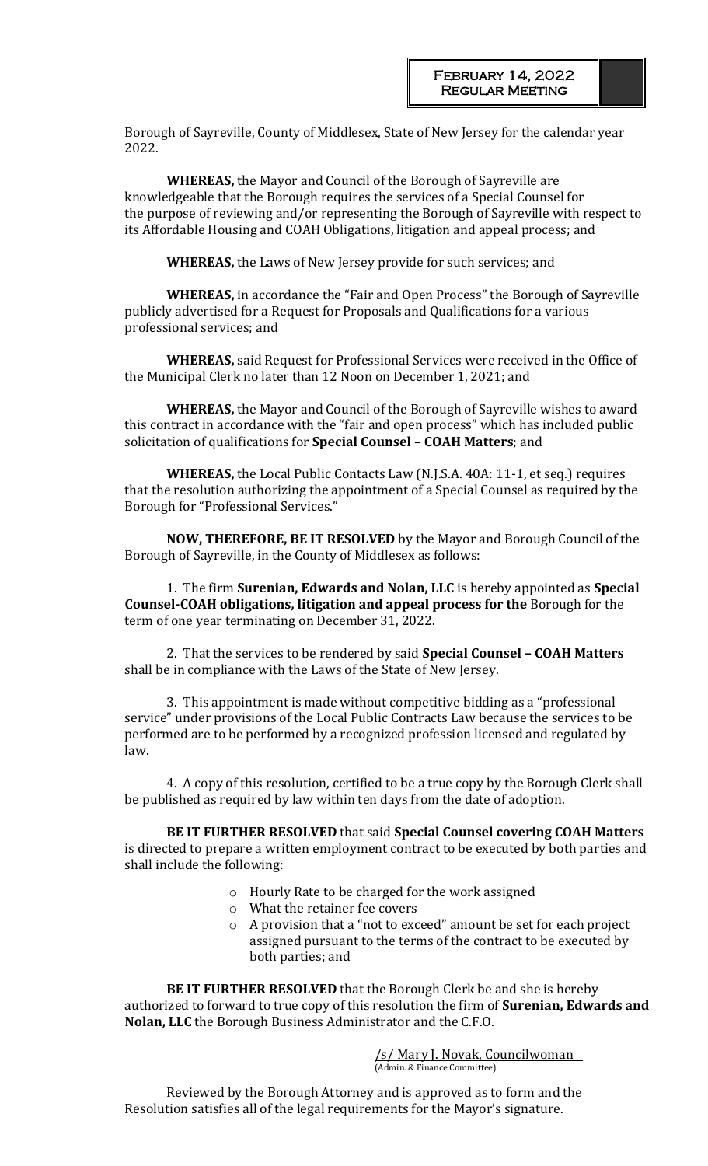Borough of Sayreville, County of Middlesex, State of New Jersey for the calendar year 2022.

**WHEREAS,** the Mayor and Council of the Borough of Sayreville are knowledgeable that the Borough requires the services of a Special Counsel for the purpose of reviewing and/or representing the Borough of Sayreville with respect to its Affordable Housing and COAH Obligations, litigation and appeal process; and

**WHEREAS,** the Laws of New Jersey provide for such services; and

**WHEREAS,** in accordance the "Fair and Open Process" the Borough of Sayreville publicly advertised for a Request for Proposals and Qualifications for a various professional services; and

**WHEREAS,** said Request for Professional Services were received in the Office of the Municipal Clerk no later than 12 Noon on December 1, 2021; and

**WHEREAS,** the Mayor and Council of the Borough of Sayreville wishes to award this contract in accordance with the "fair and open process" which has included public solicitation of qualifications for **Special Counsel – COAH Matters**; and

**WHEREAS,** the Local Public Contacts Law (N.J.S.A. 40A: 11-1, et seq.) requires that the resolution authorizing the appointment of a Special Counsel as required by the Borough for "Professional Services."

**NOW, THEREFORE, BE IT RESOLVED** by the Mayor and Borough Council of the Borough of Sayreville, in the County of Middlesex as follows:

1. The firm **Surenian, Edwards and Nolan, LLC** is hereby appointed as **Special Counsel-COAH obligations, litigation and appeal process for the** Borough for the term of one year terminating on December 31, 2022.

2. That the services to be rendered by said **Special Counsel – COAH Matters** shall be in compliance with the Laws of the State of New Jersey.

3. This appointment is made without competitive bidding as a "professional service" under provisions of the Local Public Contracts Law because the services to be performed are to be performed by a recognized profession licensed and regulated by law.

4. A copy of this resolution, certified to be a true copy by the Borough Clerk shall be published as required by law within ten days from the date of adoption.

**BE IT FURTHER RESOLVED** that said **Special Counsel covering COAH Matters**  is directed to prepare a written employment contract to be executed by both parties and shall include the following:

- o Hourly Rate to be charged for the work assigned
- o What the retainer fee covers
- o A provision that a "not to exceed" amount be set for each project assigned pursuant to the terms of the contract to be executed by both parties; and

**BE IT FURTHER RESOLVED** that the Borough Clerk be and she is hereby authorized to forward to true copy of this resolution the firm of **Surenian, Edwards and Nolan, LLC** the Borough Business Administrator and the C.F.O.

> /s/ Mary J. Novak, Councilwoman (Admin. & Finance Committee)

Reviewed by the Borough Attorney and is approved as to form and the Resolution satisfies all of the legal requirements for the Mayor's signature.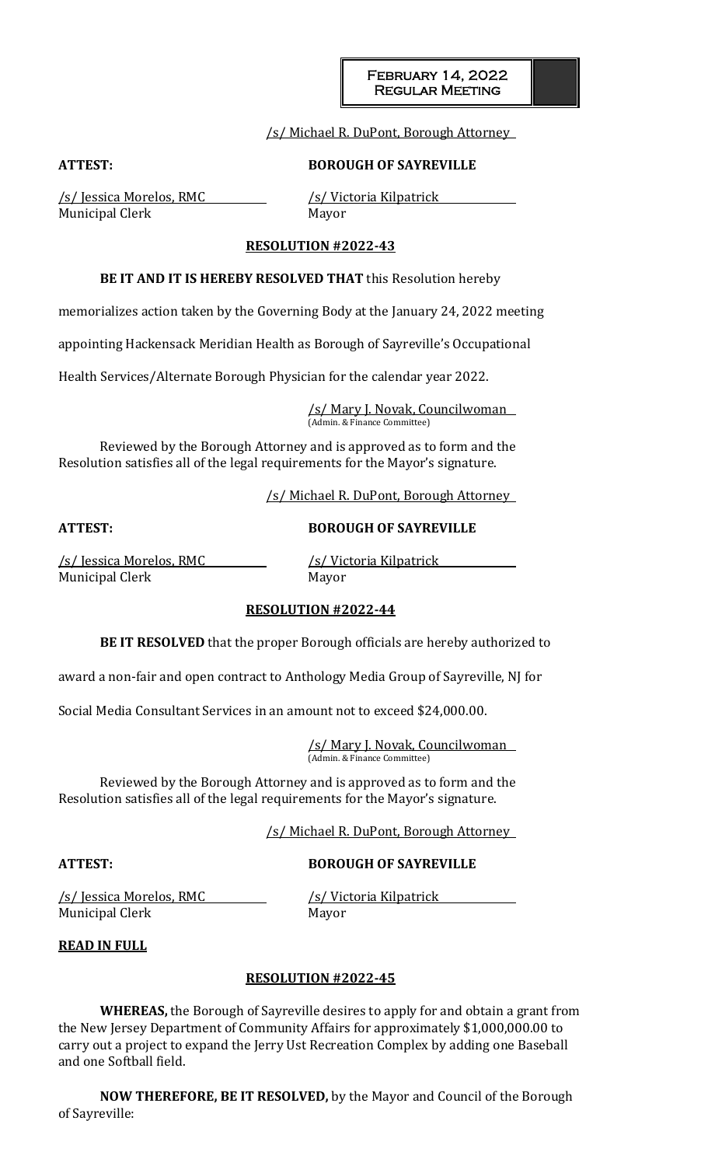# /s/ Michael R. DuPont, Borough Attorney

### **ATTEST: BOROUGH OF SAYREVILLE**

/s/ Jessica Morelos, RMC /s/ Victoria Kilpatrick Municipal Clerk Mayor

#### **RESOLUTION #2022-43**

#### **BE IT AND IT IS HEREBY RESOLVED THAT** this Resolution hereby

memorializes action taken by the Governing Body at the January 24, 2022 meeting

appointing Hackensack Meridian Health as Borough of Sayreville's Occupational

Health Services/Alternate Borough Physician for the calendar year 2022.

/s/ Mary J. Novak, Councilwoman (Admin. & Finance Committee)

Reviewed by the Borough Attorney and is approved as to form and the Resolution satisfies all of the legal requirements for the Mayor's signature.

/s/ Michael R. DuPont, Borough Attorney

#### **ATTEST: BOROUGH OF SAYREVILLE**

/s/ Jessica Morelos, RMC /s/ Victoria Kilpatrick Municipal Clerk Mayor

#### **RESOLUTION #2022-44**

**BE IT RESOLVED** that the proper Borough officials are hereby authorized to

award a non-fair and open contract to Anthology Media Group of Sayreville, NJ for

Social Media Consultant Services in an amount not to exceed \$24,000.00.

/s/ Mary J. Novak, Councilwoman (Admin. & Finance Committee)

Reviewed by the Borough Attorney and is approved as to form and the Resolution satisfies all of the legal requirements for the Mayor's signature.

/s/ Michael R. DuPont, Borough Attorney

# **ATTEST: BOROUGH OF SAYREVILLE**

/s/ Jessica Morelos, RMC /s/ Victoria Kilpatrick Municipal Clerk Mayor

**READ IN FULL**

### **RESOLUTION #2022-45**

**WHEREAS,** the Borough of Sayreville desires to apply for and obtain a grant from the New Jersey Department of Community Affairs for approximately \$1,000,000.00 to carry out a project to expand the Jerry Ust Recreation Complex by adding one Baseball and one Softball field.

**NOW THEREFORE, BE IT RESOLVED,** by the Mayor and Council of the Borough of Sayreville: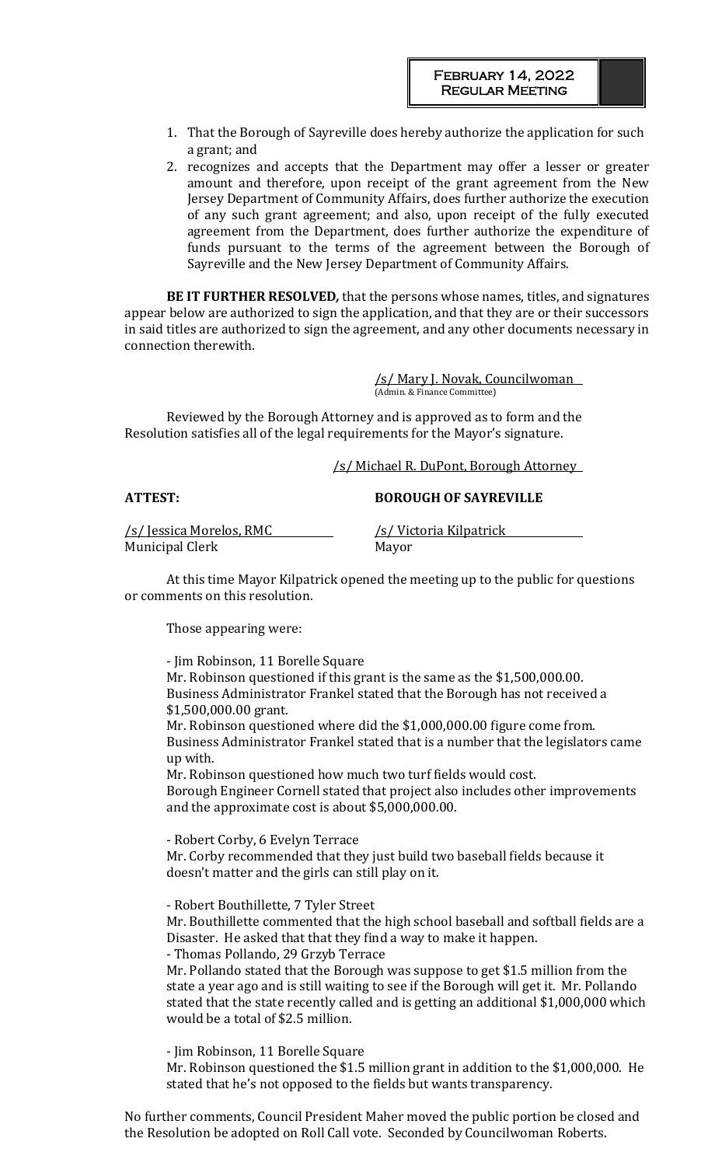- 1. That the Borough of Sayreville does hereby authorize the application for such a grant; and
- 2. recognizes and accepts that the Department may offer a lesser or greater amount and therefore, upon receipt of the grant agreement from the New Jersey Department of Community Affairs, does further authorize the execution of any such grant agreement; and also, upon receipt of the fully executed agreement from the Department, does further authorize the expenditure of funds pursuant to the terms of the agreement between the Borough of Sayreville and the New Jersey Department of Community Affairs.

**BE IT FURTHER RESOLVED***,* that the persons whose names, titles, and signatures appear below are authorized to sign the application, and that they are or their successors in said titles are authorized to sign the agreement, and any other documents necessary in connection therewith.

> /s/ Mary J. Novak, Councilwoman (Admin. & Finance Committee)

Reviewed by the Borough Attorney and is approved as to form and the Resolution satisfies all of the legal requirements for the Mayor's signature.

### /s/ Michael R. DuPont, Borough Attorney

## **ATTEST: BOROUGH OF SAYREVILLE**

/s/ Jessica Morelos, RMC /s/ Victoria Kilpatrick Municipal Clerk Mayor

At this time Mayor Kilpatrick opened the meeting up to the public for questions or comments on this resolution.

Those appearing were:

- Jim Robinson, 11 Borelle Square Mr. Robinson questioned if this grant is the same as the \$1,500,000.00. Business Administrator Frankel stated that the Borough has not received a \$1,500,000.00 grant.

Mr. Robinson questioned where did the \$1,000,000.00 figure come from. Business Administrator Frankel stated that is a number that the legislators came up with.

Mr. Robinson questioned how much two turf fields would cost. Borough Engineer Cornell stated that project also includes other improvements and the approximate cost is about \$5,000,000.00.

- Robert Corby, 6 Evelyn Terrace Mr. Corby recommended that they just build two baseball fields because it doesn't matter and the girls can still play on it.

- Robert Bouthillette, 7 Tyler Street Mr. Bouthillette commented that the high school baseball and softball fields are a Disaster. He asked that that they find a way to make it happen. - Thomas Pollando, 29 Grzyb Terrace

Mr. Pollando stated that the Borough was suppose to get \$1.5 million from the state a year ago and is still waiting to see if the Borough will get it. Mr. Pollando stated that the state recently called and is getting an additional \$1,000,000 which would be a total of \$2.5 million.

- Jim Robinson, 11 Borelle Square Mr. Robinson questioned the \$1.5 million grant in addition to the \$1,000,000. He stated that he's not opposed to the fields but wants transparency.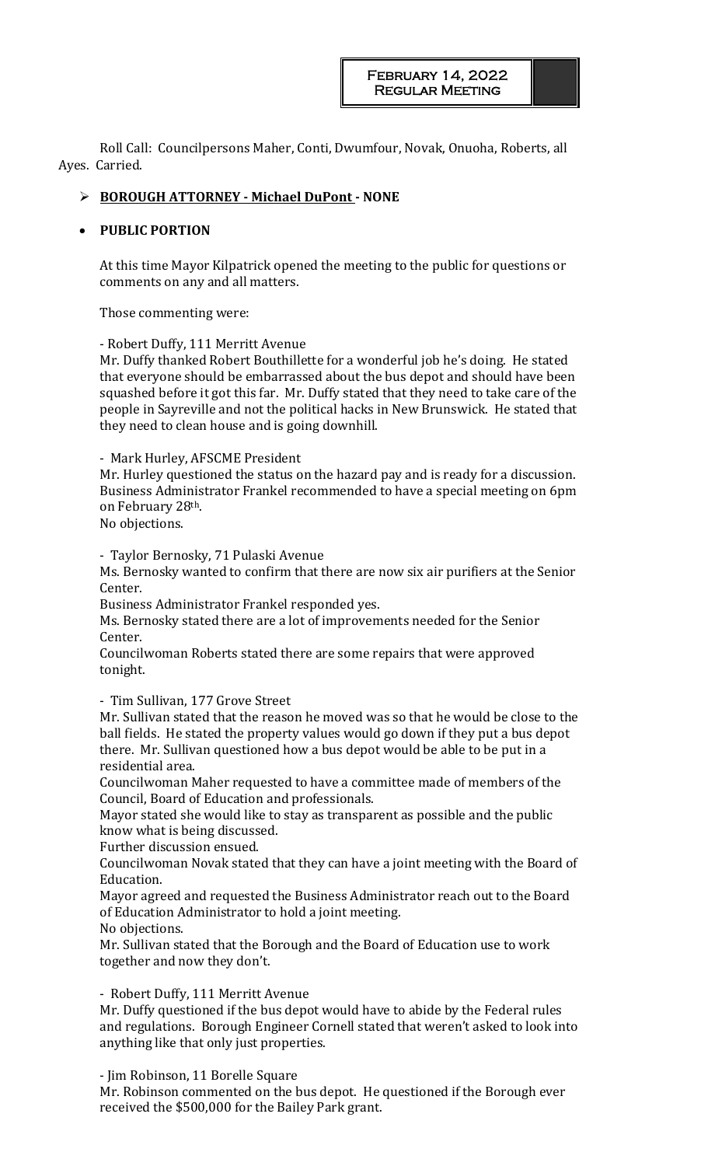Roll Call: Councilpersons Maher, Conti, Dwumfour, Novak, Onuoha, Roberts, all Ayes. Carried.

## ➢ **BOROUGH ATTORNEY - Michael DuPont - NONE**

## • **PUBLIC PORTION**

At this time Mayor Kilpatrick opened the meeting to the public for questions or comments on any and all matters.

Those commenting were:

- Robert Duffy, 111 Merritt Avenue

Mr. Duffy thanked Robert Bouthillette for a wonderful job he's doing. He stated that everyone should be embarrassed about the bus depot and should have been squashed before it got this far. Mr. Duffy stated that they need to take care of the people in Sayreville and not the political hacks in New Brunswick. He stated that they need to clean house and is going downhill.

- Mark Hurley, AFSCME President

Mr. Hurley questioned the status on the hazard pay and is ready for a discussion. Business Administrator Frankel recommended to have a special meeting on 6pm on February 28th.

No objections.

- Taylor Bernosky, 71 Pulaski Avenue

Ms. Bernosky wanted to confirm that there are now six air purifiers at the Senior Center.

Business Administrator Frankel responded yes.

Ms. Bernosky stated there are a lot of improvements needed for the Senior Center.

Councilwoman Roberts stated there are some repairs that were approved tonight.

- Tim Sullivan, 177 Grove Street

Mr. Sullivan stated that the reason he moved was so that he would be close to the ball fields. He stated the property values would go down if they put a bus depot there. Mr. Sullivan questioned how a bus depot would be able to be put in a residential area.

Councilwoman Maher requested to have a committee made of members of the Council, Board of Education and professionals.

Mayor stated she would like to stay as transparent as possible and the public know what is being discussed.

Further discussion ensued.

Councilwoman Novak stated that they can have a joint meeting with the Board of Education.

Mayor agreed and requested the Business Administrator reach out to the Board of Education Administrator to hold a joint meeting.

No objections.

Mr. Sullivan stated that the Borough and the Board of Education use to work together and now they don't.

### - Robert Duffy, 111 Merritt Avenue

Mr. Duffy questioned if the bus depot would have to abide by the Federal rules and regulations. Borough Engineer Cornell stated that weren't asked to look into anything like that only just properties.

- Jim Robinson, 11 Borelle Square

Mr. Robinson commented on the bus depot. He questioned if the Borough ever received the \$500,000 for the Bailey Park grant.